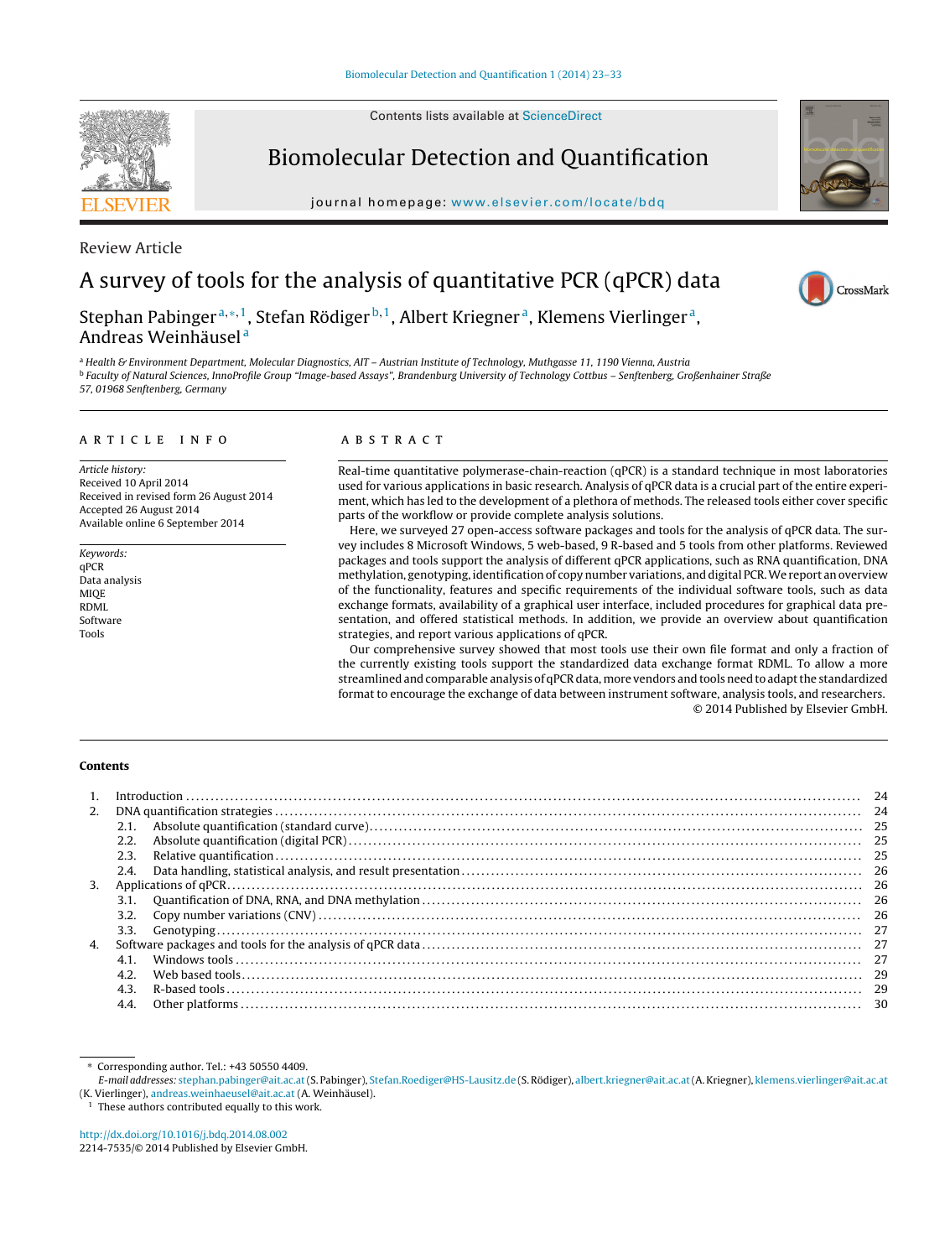Contents lists available at [ScienceDirect](http://www.sciencedirect.com/science/journal/00000000)

# Biomolecular Detection and Quantification

journal homepage: <www.elsevier.com/locate/bdq>

# Review Article A survey of tools for the analysis of quantitative PCR (qPCR) data

Stephan Pabinger<sup>a,∗,1</sup>, Stefan Rödiger<sup>b,1</sup>, Albert Kriegner<sup>a</sup>, Klemens Vierlinger<sup>a</sup>, Andreas Weinhäusel <sup>a</sup>

<sup>a</sup> Health & Environment Department, Molecular Diagnostics, AIT – Austrian Institute of Technology, Muthgasse 11, 1190 Vienna, Austria <sup>b</sup> Faculty of Natural Sciences, InnoProfile Group "Image-based Assays", Brandenburg University of Technology Cottbus – Senftenberg, Großenhainer Straße 57, 01968 Senftenberg, Germany

# a r t i c l e i n f o

Article history: Received 10 April 2014 Received in revised form 26 August 2014 Accepted 26 August 2014 Available online 6 September 2014

Keywords: qPCR Data analysis MIQE RDML Software Tools

# A B S T R A C T

Real-time quantitative polymerase-chain-reaction (qPCR) is a standard technique in most laboratories used for various applications in basic research. Analysis of qPCR data is a crucial part of the entire experiment, which has led to the development of a plethora of methods. The released tools either cover specific parts of the workflow or provide complete analysis solutions.

Here, we surveyed 27 open-access software packages and tools for the analysis of qPCR data. The survey includes 8 Microsoft Windows, 5 web-based, 9 R-based and 5 tools from other platforms. Reviewed packages and tools support the analysis of different qPCR applications, such as RNA quantification, DNA methylation, genotyping, identification of copy number variations, and digital PCR. We report an overview of the functionality, features and specific requirements of the individual software tools, such as data exchange formats, availability of a graphical user interface, included procedures for graphical data presentation, and offered statistical methods. In addition, we provide an overview about quantification strategies, and report various applications of qPCR.

Our comprehensive survey showed that most tools use their own file format and only a fraction of the currently existing tools support the standardized data exchange format RDML. To allow a more streamlined and comparable analysis of qPCR data, more vendors and tools need to adapt the standardized format to encourage the exchange of data between instrument software, analysis tools, and researchers. © 2014 Published by Elsevier GmbH.

#### **Contents**

| 2. |      |  |  |  |  |  |  |  |
|----|------|--|--|--|--|--|--|--|
|    | 2.1. |  |  |  |  |  |  |  |
|    | 2.2. |  |  |  |  |  |  |  |
|    | 2.3. |  |  |  |  |  |  |  |
|    | 2.4. |  |  |  |  |  |  |  |
| 3. |      |  |  |  |  |  |  |  |
|    | 3.1. |  |  |  |  |  |  |  |
|    | 3.2. |  |  |  |  |  |  |  |
|    | 3.3. |  |  |  |  |  |  |  |
| 4. |      |  |  |  |  |  |  |  |
|    | 4.1. |  |  |  |  |  |  |  |
|    | 4.2. |  |  |  |  |  |  |  |
|    | 4.3. |  |  |  |  |  |  |  |
|    | 4.4. |  |  |  |  |  |  |  |

[http://dx.doi.org/10.1016/j.bdq.2014.08.002](dx.doi.org/10.1016/j.bdq.2014.08.002) 2214-7535/© 2014 Published by Elsevier GmbH.







<sup>∗</sup> Corresponding author. Tel.: +43 50550 4409.

E-mail addresses: [stephan.pabinger@ait.ac.at](mailto:stephan.pabinger@ait.ac.at)(S. Pabinger), [Stefan.Roediger@HS-Lausitz.de](mailto:Stefan.Roediger@HS-Lausitz.de) (S. Rödiger), [albert.kriegner@ait.ac.at](mailto:albert.kriegner@ait.ac.at)(A.Kriegner), [klemens.vierlinger@ait.ac.at](mailto:klemens.vierlinger@ait.ac.at) (K. Vierlinger), [andreas.weinhaeusel@ait.ac.at](mailto:andreas.weinhaeusel@ait.ac.at) (A. Weinhäusel).

These authors contributed equally to this work.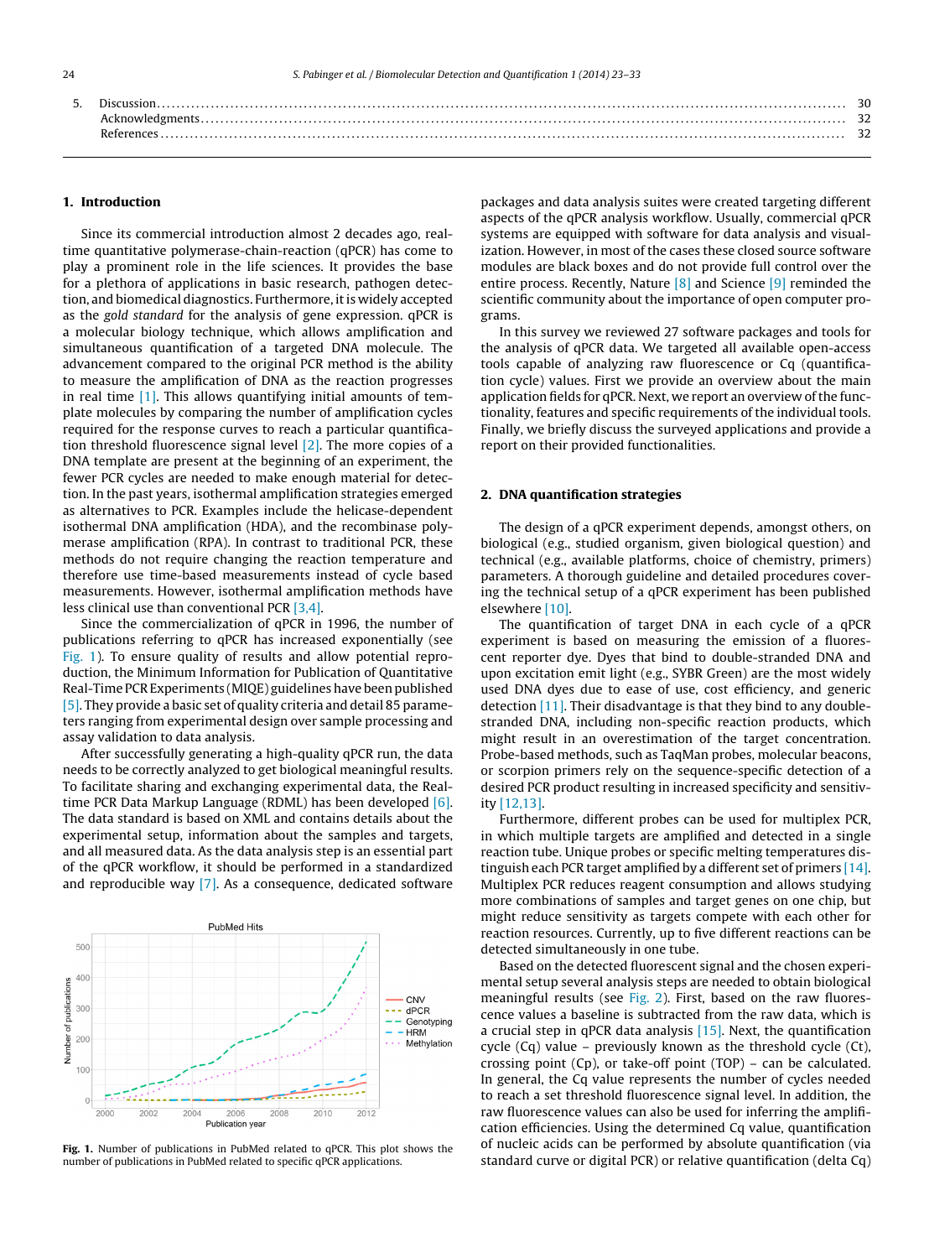| -<br><u>.</u> | ו 11 לו | 30 |
|---------------|---------|----|
|               |         | 32 |
|               |         | 32 |
|               |         |    |

# **1. Introduction**

Since its commercial introduction almost 2 decades ago, realtime quantitative polymerase-chain-reaction (qPCR) has come to play a prominent role in the life sciences. It provides the base for a plethora of applications in basic research, pathogen detection, and biomedical diagnostics. Furthermore, it is widely accepted as the gold standard for the analysis of gene expression. qPCR is a molecular biology technique, which allows amplification and simultaneous quantification of a targeted DNA molecule. The advancement compared to the original PCR method is the ability to measure the amplification of DNA as the reaction progresses in real time [\[1\].](#page-9-0) This allows quantifying initial amounts of template molecules by comparing the number of amplification cycles required for the response curves to reach a particular quantification threshold fluorescence signal level [\[2\].](#page-9-0) The more copies of a DNA template are present at the beginning of an experiment, the fewer PCR cycles are needed to make enough material for detection. In the past years, isothermal amplification strategies emerged as alternatives to PCR. Examples include the helicase-dependent isothermal DNA amplification (HDA), and the recombinase polymerase amplification (RPA). In contrast to traditional PCR, these methods do not require changing the reaction temperature and therefore use time-based measurements instead of cycle based measurements. However, isothermal amplification methods have less clinical use than conventional PCR [\[3,4\].](#page-9-0)

Since the commercialization of qPCR in 1996, the number of publications referring to qPCR has increased exponentially (see Fig. 1). To ensure quality of results and allow potential reproduction, the Minimum Information for Publication of Quantitative Real-Time PCRExperiments (MIQE) guidelines have been published [\[5\].](#page-9-0) They provide a basic set of quality criteria and detail 85 parameters ranging from experimental design over sample processing and assay validation to data analysis.

After successfully generating a high-quality qPCR run, the data needs to be correctly analyzed to get biological meaningful results. To facilitate sharing and exchanging experimental data, the Realtime PCR Data Markup Language (RDML) has been developed [\[6\].](#page-9-0) The data standard is based on XML and contains details about the experimental setup, information about the samples and targets, and all measured data. As the data analysis step is an essential part of the qPCR workflow, it should be performed in a standardized and reproducible way  $[7]$ . As a consequence, dedicated software



**Fig. 1.** Number of publications in PubMed related to qPCR. This plot shows the number of publications in PubMed related to specific qPCR applications.

packages and data analysis suites were created targeting different aspects of the qPCR analysis workflow. Usually, commercial qPCR systems are equipped with software for data analysis and visualization. However, in most of the cases these closed source software modules are black boxes and do not provide full control over the entire process. Recently, Nature  $\lceil 8 \rceil$  and Science  $\lceil 9 \rceil$  reminded the scientific community about the importance of open computer programs.

In this survey we reviewed 27 software packages and tools for the analysis of qPCR data. We targeted all available open-access tools capable of analyzing raw fluorescence or Cq (quantification cycle) values. First we provide an overview about the main application fields for qPCR. Next, we report an overview of the functionality, features and specific requirements of the individual tools. Finally, we briefly discuss the surveyed applications and provide a report on their provided functionalities.

# **2. DNA quantification strategies**

The design of a qPCR experiment depends, amongst others, on biological (e.g., studied organism, given biological question) and technical (e.g., available platforms, choice of chemistry, primers) parameters. A thorough guideline and detailed procedures covering the technical setup of a qPCR experiment has been published elsewhere [\[10\].](#page-9-0)

The quantification of target DNA in each cycle of a qPCR experiment is based on measuring the emission of a fluorescent reporter dye. Dyes that bind to double-stranded DNA and upon excitation emit light (e.g., SYBR Green) are the most widely used DNA dyes due to ease of use, cost efficiency, and generic detection  $[11]$ . Their disadvantage is that they bind to any doublestranded DNA, including non-specific reaction products, which might result in an overestimation of the target concentration. Probe-based methods, such as TaqMan probes, molecular beacons, or scorpion primers rely on the sequence-specific detection of a desired PCR product resulting in increased specificity and sensitivity [\[12,13\].](#page-9-0)

Furthermore, different probes can be used for multiplex PCR, in which multiple targets are amplified and detected in a single reaction tube. Unique probes or specific melting temperatures distinguish each PCR target amplified by a different set of primers  $[14]$ . Multiplex PCR reduces reagent consumption and allows studying more combinations of samples and target genes on one chip, but might reduce sensitivity as targets compete with each other for reaction resources. Currently, up to five different reactions can be detected simultaneously in one tube.

Based on the detected fluorescent signal and the chosen experimental setup several analysis steps are needed to obtain biological meaningful results (see [Fig.](#page-2-0) 2). First, based on the raw fluorescence values a baseline is subtracted from the raw data, which is a crucial step in qPCR data analysis [\[15\].](#page-9-0) Next, the quantification cycle (Cq) value – previously known as the threshold cycle (Ct), crossing point (Cp), or take-off point (TOP) – can be calculated. In general, the Cq value represents the number of cycles needed to reach a set threshold fluorescence signal level. In addition, the raw fluorescence values can also be used for inferring the amplification efficiencies. Using the determined Cq value, quantification of nucleic acids can be performed by absolute quantification (via standard curve or digital PCR) or relative quantification (delta Cq)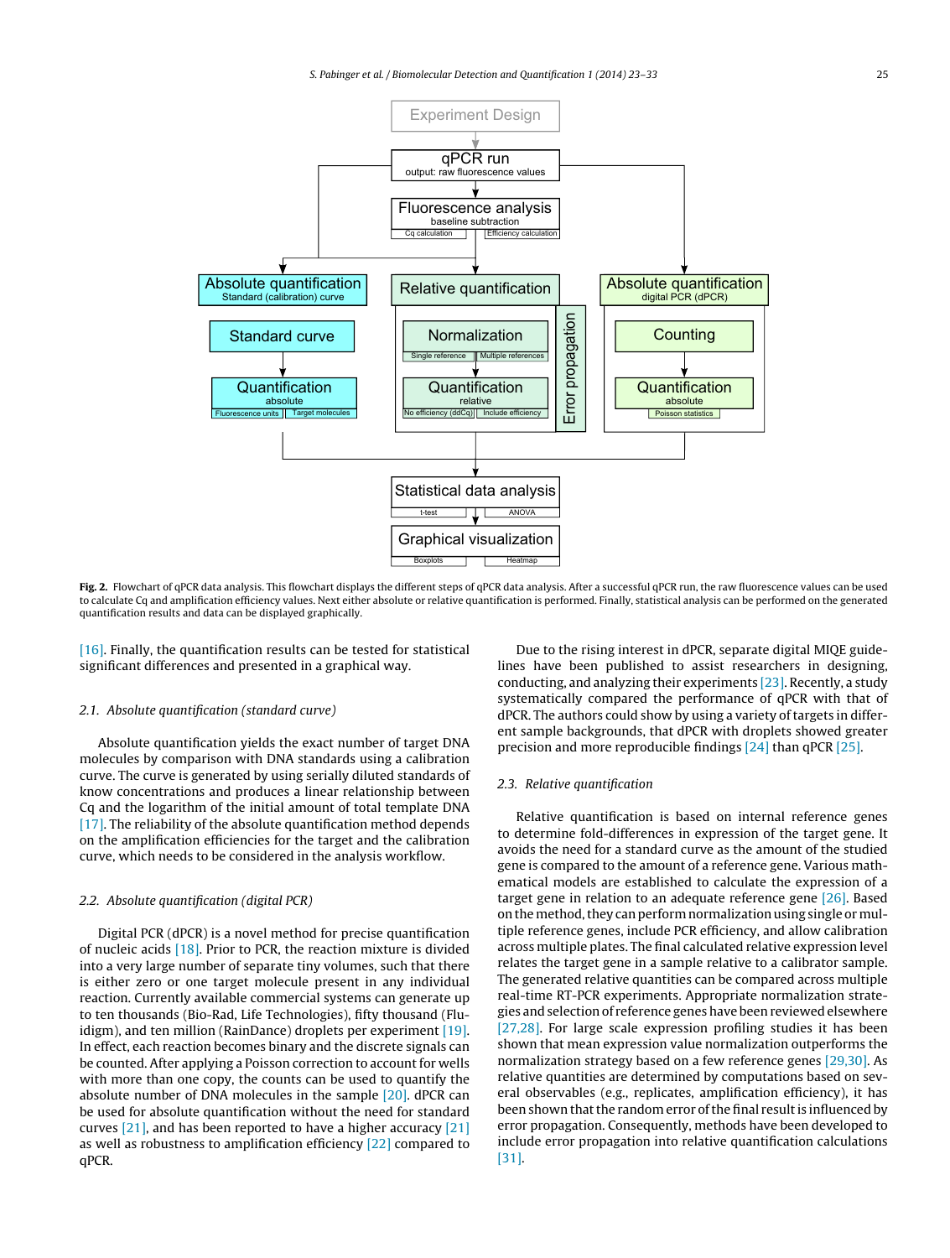<span id="page-2-0"></span>

**Fig. 2.** Flowchart of qPCR data analysis. This flowchart displays the different steps of qPCR data analysis. After a successful qPCR run, the raw fluorescence values can be used to calculate Cq and amplification efficiency values. Next either absolute or relative quantification is performed. Finally, statistical analysis can be performed on the generated quantification results and data can be displayed graphically.

[\[16\].](#page-9-0) Finally, the quantification results can be tested for statistical significant differences and presented in a graphical way.

# 2.1. Absolute quantification (standard curve)

Absolute quantification yields the exact number of target DNA molecules by comparison with DNA standards using a calibration curve. The curve is generated by using serially diluted standards of know concentrations and produces a linear relationship between Cq and the logarithm of the initial amount of total template DNA [\[17\].](#page-9-0) The reliability of the absolute quantification method depends on the amplification efficiencies for the target and the calibration curve, which needs to be considered in the analysis workflow.

# 2.2. Absolute quantification (digital PCR)

Digital PCR (dPCR) is a novel method for precise quantification of nucleic acids [\[18\].](#page-9-0) Prior to PCR, the reaction mixture is divided into a very large number of separate tiny volumes, such that there is either zero or one target molecule present in any individual reaction. Currently available commercial systems can generate up to ten thousands (Bio-Rad, Life Technologies), fifty thousand (Fluidigm), and ten million (RainDance) droplets per experiment [\[19\].](#page-9-0) In effect, each reaction becomes binary and the discrete signals can be counted. After applying a Poisson correction to account for wells with more than one copy, the counts can be used to quantify the absolute number of DNA molecules in the sample [\[20\].](#page-9-0) dPCR can be used for absolute quantification without the need for standard curves  $[21]$ , and has been reported to have a higher accuracy  $[21]$ as well as robustness to amplification efficiency [\[22\]](#page-9-0) compared to qPCR.

Due to the rising interest in dPCR, separate digital MIQE guidelines have been published to assist researchers in designing, conducting, and analyzing their experiments [\[23\].](#page-9-0) Recently, a study systematically compared the performance of qPCR with that of dPCR. The authors could show by using a variety of targets in different sample backgrounds, that dPCR with droplets showed greater precision and more reproducible findings [\[24\]](#page-9-0) than qPCR [\[25\].](#page-9-0)

# 2.3. Relative quantification

Relative quantification is based on internal reference genes to determine fold-differences in expression of the target gene. It avoids the need for a standard curve as the amount of the studied gene is compared to the amount of a reference gene. Various mathematical models are established to calculate the expression of a target gene in relation to an adequate reference gene [\[26\].](#page-9-0) Based on the method, they can perform normalization using single or multiple reference genes, include PCR efficiency, and allow calibration across multiple plates. The final calculated relative expression level relates the target gene in a sample relative to a calibrator sample. The generated relative quantities can be compared across multiple real-time RT-PCR experiments. Appropriate normalization strategies and selection of reference genes have been reviewed elsewhere [\[27,28\].](#page-9-0) For large scale expression profiling studies it has been shown that mean expression value normalization outperforms the normalization strategy based on a few reference genes [\[29,30\].](#page-9-0) As relative quantities are determined by computations based on several observables (e.g., replicates, amplification efficiency), it has been shown that the random error of the final result is influenced by error propagation. Consequently, methods have been developed to include error propagation into relative quantification calculations [\[31\].](#page-9-0)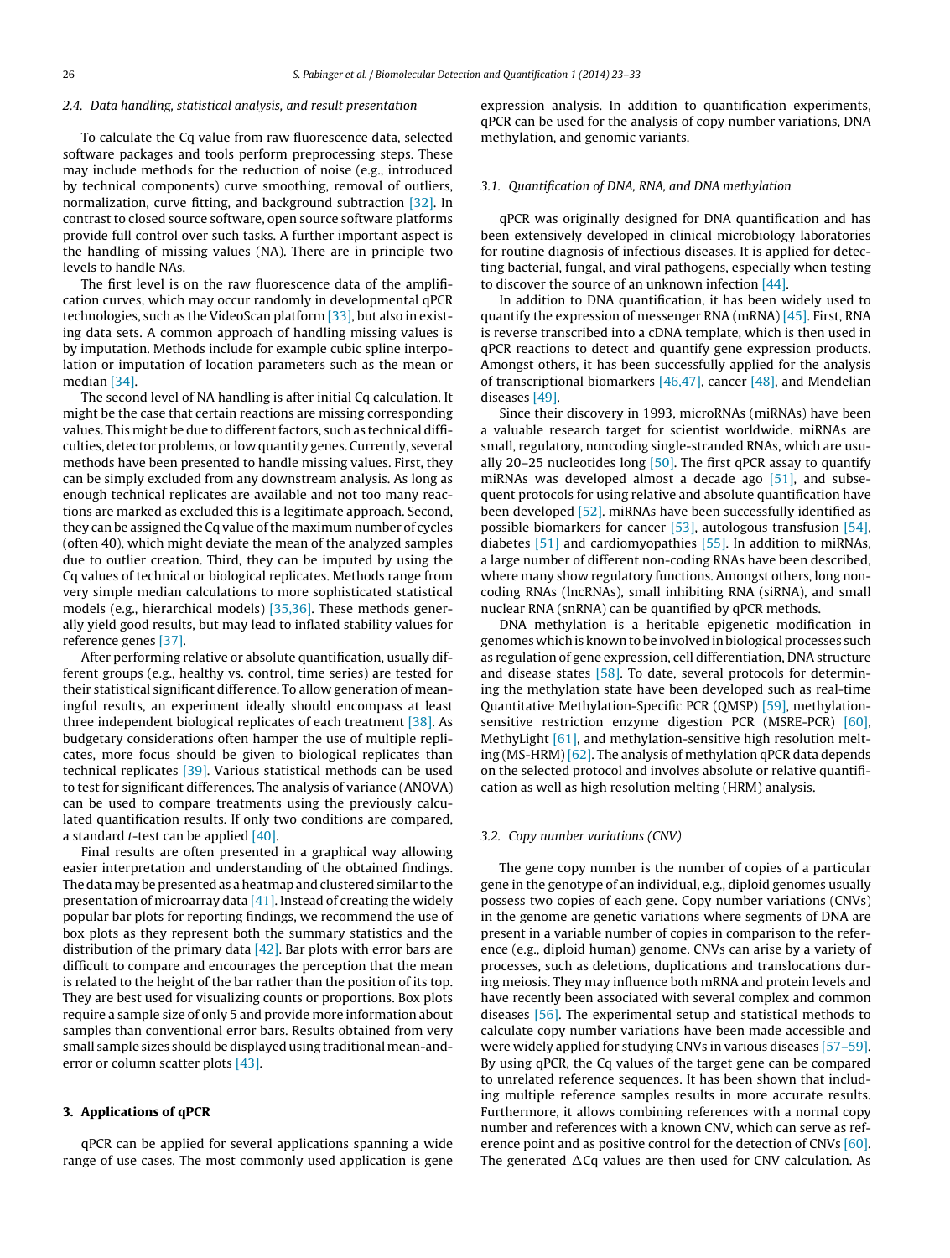#### 2.4. Data handling, statistical analysis, and result presentation

To calculate the Cq value from raw fluorescence data, selected software packages and tools perform preprocessing steps. These may include methods for the reduction of noise (e.g., introduced by technical components) curve smoothing, removal of outliers, normalization, curve fitting, and background subtraction [\[32\].](#page-9-0) In contrast to closed source software, open source software platforms provide full control over such tasks. A further important aspect is the handling of missing values (NA). There are in principle two levels to handle NAs.

The first level is on the raw fluorescence data of the amplification curves, which may occur randomly in developmental qPCR technologies, such as the VideoScan platform [\[33\],](#page-9-0) but also in existing data sets. A common approach of handling missing values is by imputation. Methods include for example cubic spline interpolation or imputation of location parameters such as the mean or median [\[34\].](#page-9-0)

The second level of NA handling is after initial Cq calculation. It might be the case that certain reactions are missing corresponding values. This might be due to different factors, such as technical difficulties, detector problems, or low quantity genes. Currently, several methods have been presented to handle missing values. First, they can be simply excluded from any downstream analysis. As long as enough technical replicates are available and not too many reactions are marked as excluded this is a legitimate approach. Second, they can be assigned the Cq value of the maximum number of cycles (often 40), which might deviate the mean of the analyzed samples due to outlier creation. Third, they can be imputed by using the Cq values of technical or biological replicates. Methods range from very simple median calculations to more sophisticated statistical models (e.g., hierarchical models) [\[35,36\].](#page-9-0) These methods generally yield good results, but may lead to inflated stability values for reference genes [\[37\].](#page-9-0)

After performing relative or absolute quantification, usually different groups (e.g., healthy vs. control, time series) are tested for their statistical significant difference. To allow generation of meaningful results, an experiment ideally should encompass at least three independent biological replicates of each treatment [\[38\].](#page-9-0) As budgetary considerations often hamper the use of multiple replicates, more focus should be given to biological replicates than technical replicates [\[39\].](#page-9-0) Various statistical methods can be used to test for significant differences. The analysis of variance (ANOVA) can be used to compare treatments using the previously calculated quantification results. If only two conditions are compared, a standard *t*-test can be applied  $[40]$ .

Final results are often presented in a graphical way allowing easier interpretation and understanding of the obtained findings. The data may be presented as a heatmap and clustered similar to the presentation of microarray data  $[41]$ . Instead of creating the widely popular bar plots for reporting findings, we recommend the use of box plots as they represent both the summary statistics and the distribution of the primary data  $[42]$ . Bar plots with error bars are difficult to compare and encourages the perception that the mean is related to the height of the bar rather than the position of its top. They are best used for visualizing counts or proportions. Box plots require a sample size of only 5 and provide more information about samples than conventional error bars. Results obtained from very small sample sizes should be displayed using traditional mean-anderror or column scatter plots [\[43\].](#page-9-0)

# **3. Applications of qPCR**

qPCR can be applied for several applications spanning a wide range of use cases. The most commonly used application is gene expression analysis. In addition to quantification experiments, qPCR can be used for the analysis of copy number variations, DNA methylation, and genomic variants.

# 3.1. Quantification of DNA, RNA, and DNA methylation

qPCR was originally designed for DNA quantification and has been extensively developed in clinical microbiology laboratories for routine diagnosis of infectious diseases. It is applied for detecting bacterial, fungal, and viral pathogens, especially when testing to discover the source of an unknown infection [\[44\].](#page-9-0)

In addition to DNA quantification, it has been widely used to quantify the expression of messenger RNA (mRNA) [\[45\].](#page-9-0) First, RNA is reverse transcribed into a cDNA template, which is then used in qPCR reactions to detect and quantify gene expression products. Amongst others, it has been successfully applied for the analysis of transcriptional biomarkers  $[46,47]$ , cancer  $[48]$ , and Mendelian diseases [\[49\].](#page-9-0)

Since their discovery in 1993, microRNAs (miRNAs) have been a valuable research target for scientist worldwide. miRNAs are small, regulatory, noncoding single-stranded RNAs, which are usually 20–25 nucleotides long  $[50]$ . The first qPCR assay to quantify miRNAs was developed almost a decade ago [\[51\],](#page-9-0) and subsequent protocols for using relative and absolute quantification have been developed [\[52\].](#page-9-0) miRNAs have been successfully identified as possible biomarkers for cancer [\[53\],](#page-9-0) autologous transfusion [\[54\],](#page-9-0) diabetes [\[51\]](#page-9-0) and cardiomyopathies [\[55\].](#page-9-0) In addition to miRNAs, a large number of different non-coding RNAs have been described, where many show regulatory functions. Amongst others, long noncoding RNAs (lncRNAs), small inhibiting RNA (siRNA), and small nuclear RNA (snRNA) can be quantified by qPCR methods.

DNA methylation is a heritable epigenetic modification in genomes which is known to be involved in biological processes such as regulation of gene expression, cell differentiation, DNA structure and disease states [\[58\].](#page-9-0) To date, several protocols for determining the methylation state have been developed such as real-time Quantitative Methylation-Specific PCR (QMSP) [\[59\],](#page-9-0) methylationsensitive restriction enzyme digestion PCR (MSRE-PCR) [\[60\],](#page-9-0) MethyLight [\[61\],](#page-10-0) and methylation-sensitive high resolution melting (MS-HRM) [\[62\].](#page-10-0) The analysis of methylation qPCR data depends on the selected protocol and involves absolute or relative quantification as well as high resolution melting (HRM) analysis.

#### 3.2. Copy number variations (CNV)

The gene copy number is the number of copies of a particular gene in the genotype of an individual, e.g., diploid genomes usually possess two copies of each gene. Copy number variations (CNVs) in the genome are genetic variations where segments of DNA are present in a variable number of copies in comparison to the reference (e.g., diploid human) genome. CNVs can arise by a variety of processes, such as deletions, duplications and translocations during meiosis. They may influence both mRNA and protein levels and have recently been associated with several complex and common diseases [\[56\].](#page-9-0) The experimental setup and statistical methods to calculate copy number variations have been made accessible and were widely applied for studying CNVs in various diseases [\[57–59\].](#page-9-0) By using qPCR, the Cq values of the target gene can be compared to unrelated reference sequences. It has been shown that including multiple reference samples results in more accurate results. Furthermore, it allows combining references with a normal copy number and references with a known CNV, which can serve as ref-erence point and as positive control for the detection of CNVs [\[60\].](#page-9-0) The generated  $\Delta$ Cq values are then used for CNV calculation. As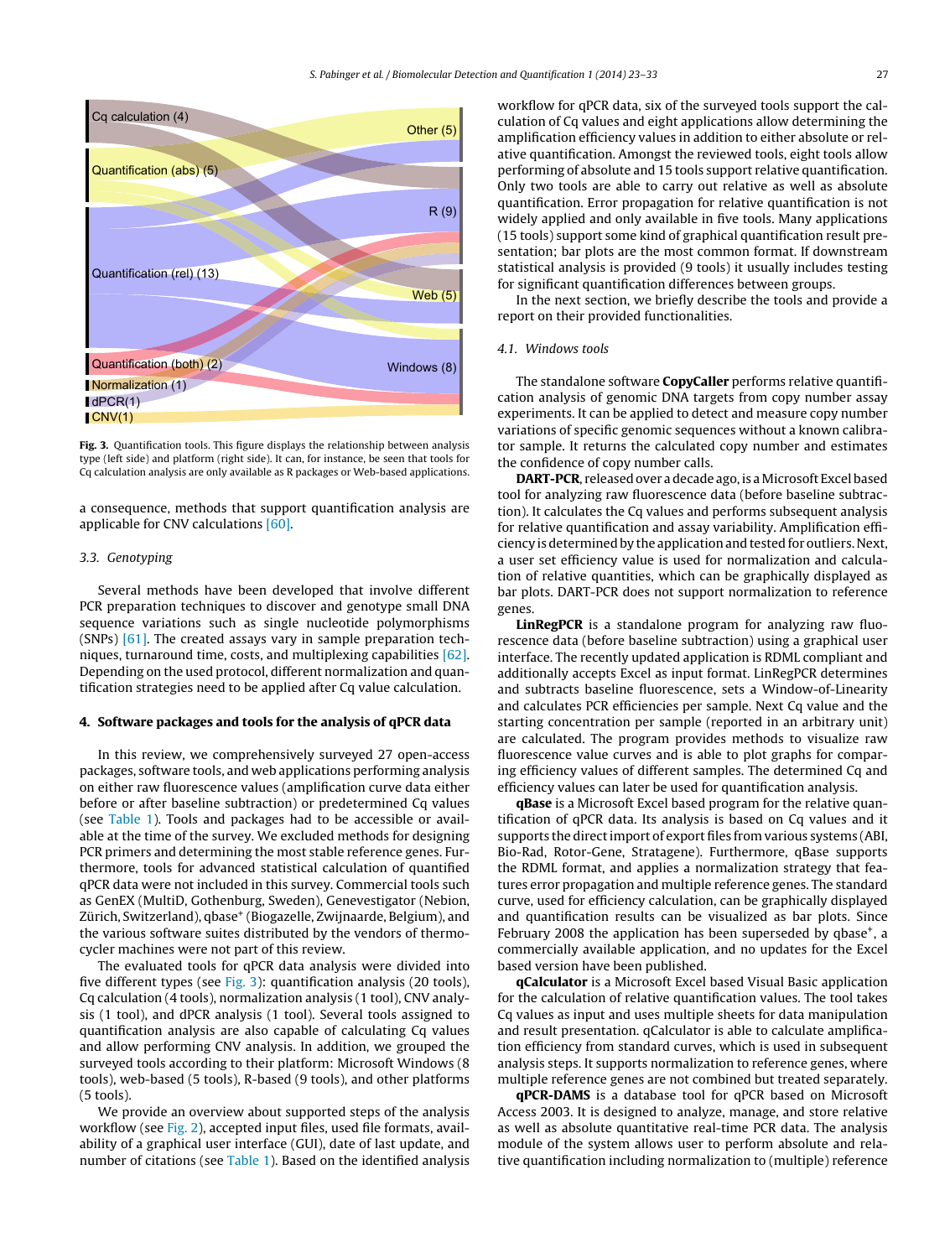

**Fig. 3.** Quantification tools. This figure displays the relationship between analysis type (left side) and platform (right side). It can, for instance, be seen that tools for Cq calculation analysis are only available as R packages or Web-based applications.

a consequence, methods that support quantification analysis are applicable for CNV calculations [\[60\].](#page-9-0)

# 3.3. Genotyping

Several methods have been developed that involve different PCR preparation techniques to discover and genotype small DNA sequence variations such as single nucleotide polymorphisms (SNPs)  $[61]$ . The created assays vary in sample preparation techniques, turnaround time, costs, and multiplexing capabilities [\[62\].](#page-10-0) Depending on the used protocol, different normalization and quantification strategies need to be applied after Cq value calculation.

# **4. Software packages and tools for the analysis of qPCR data**

In this review, we comprehensively surveyed 27 open-access packages, software tools, and web applications performing analysis on either raw fluorescence values (amplification curve data either before or after baseline subtraction) or predetermined Cq values (see [Table](#page-5-0) 1). Tools and packages had to be accessible or available at the time of the survey. We excluded methods for designing PCR primers and determining the most stable reference genes. Furthermore, tools for advanced statistical calculation of quantified qPCR data were not included in this survey. Commercial tools such as GenEX (MultiD, Gothenburg, Sweden), Genevestigator (Nebion, Zürich, Switzerland), qbase<sup>+</sup> (Biogazelle, Zwijnaarde, Belgium), and the various software suites distributed by the vendors of thermocycler machines were not part of this review.

The evaluated tools for qPCR data analysis were divided into five different types (see Fig. 3): quantification analysis (20 tools), Cq calculation (4 tools), normalization analysis (1 tool), CNV analysis (1 tool), and dPCR analysis (1 tool). Several tools assigned to quantification analysis are also capable of calculating Cq values and allow performing CNV analysis. In addition, we grouped the surveyed tools according to their platform: Microsoft Windows (8 tools), web-based (5 tools), R-based (9 tools), and other platforms (5 tools).

We provide an overview about supported steps of the analysis workflow (see [Fig.](#page-2-0) 2), accepted input files, used file formats, availability of a graphical user interface (GUI), date of last update, and number of citations (see [Table](#page-5-0) 1). Based on the identified analysis workflow for qPCR data, six of the surveyed tools support the calculation of Cq values and eight applications allow determining the amplification efficiency values in addition to either absolute or relative quantification. Amongst the reviewed tools, eight tools allow performing of absolute and 15 tools support relative quantification. Only two tools are able to carry out relative as well as absolute quantification. Error propagation for relative quantification is not widely applied and only available in five tools. Many applications (15 tools) support some kind of graphical quantification result presentation; bar plots are the most common format. If downstream statistical analysis is provided (9 tools) it usually includes testing for significant quantification differences between groups.

In the next section, we briefly describe the tools and provide a report on their provided functionalities.

# 4.1. Windows tools

The standalone software **CopyCaller** performs relative quantification analysis of genomic DNA targets from copy number assay experiments. It can be applied to detect and measure copy number variations of specific genomic sequences without a known calibrator sample. It returns the calculated copy number and estimates the confidence of copy number calls.

**DART-PCR**, released over a decade ago, is a Microsoft Excel based tool for analyzing raw fluorescence data (before baseline subtraction). It calculates the Cq values and performs subsequent analysis for relative quantification and assay variability. Amplification efficiency is determined by the application and tested for outliers. Next, a user set efficiency value is used for normalization and calculation of relative quantities, which can be graphically displayed as bar plots. DART-PCR does not support normalization to reference genes.

**LinRegPCR** is a standalone program for analyzing raw fluorescence data (before baseline subtraction) using a graphical user interface. The recently updated application is RDML compliant and additionally accepts Excel as input format. LinRegPCR determines and subtracts baseline fluorescence, sets a Window-of-Linearity and calculates PCR efficiencies per sample. Next Cq value and the starting concentration per sample (reported in an arbitrary unit) are calculated. The program provides methods to visualize raw fluorescence value curves and is able to plot graphs for comparing efficiency values of different samples. The determined Cq and efficiency values can later be used for quantification analysis.

**qBase** is a Microsoft Excel based program for the relative quantification of qPCR data. Its analysis is based on Cq values and it supports the direct import of export files from various systems (ABI, Bio-Rad, Rotor-Gene, Stratagene). Furthermore, qBase supports the RDML format, and applies a normalization strategy that features error propagation and multiple reference genes. The standard curve, used for efficiency calculation, can be graphically displayed and quantification results can be visualized as bar plots. Since February 2008 the application has been superseded by qbase<sup>+</sup>, a commercially available application, and no updates for the Excel based version have been published.

**qCalculator** is a Microsoft Excel based Visual Basic application for the calculation of relative quantification values. The tool takes Cq values as input and uses multiple sheets for data manipulation and result presentation. qCalculator is able to calculate amplification efficiency from standard curves, which is used in subsequent analysis steps. It supports normalization to reference genes, where multiple reference genes are not combined but treated separately.

**qPCR-DAMS** is a database tool for qPCR based on Microsoft Access 2003. It is designed to analyze, manage, and store relative as well as absolute quantitative real-time PCR data. The analysis module of the system allows user to perform absolute and relative quantification including normalization to (multiple) reference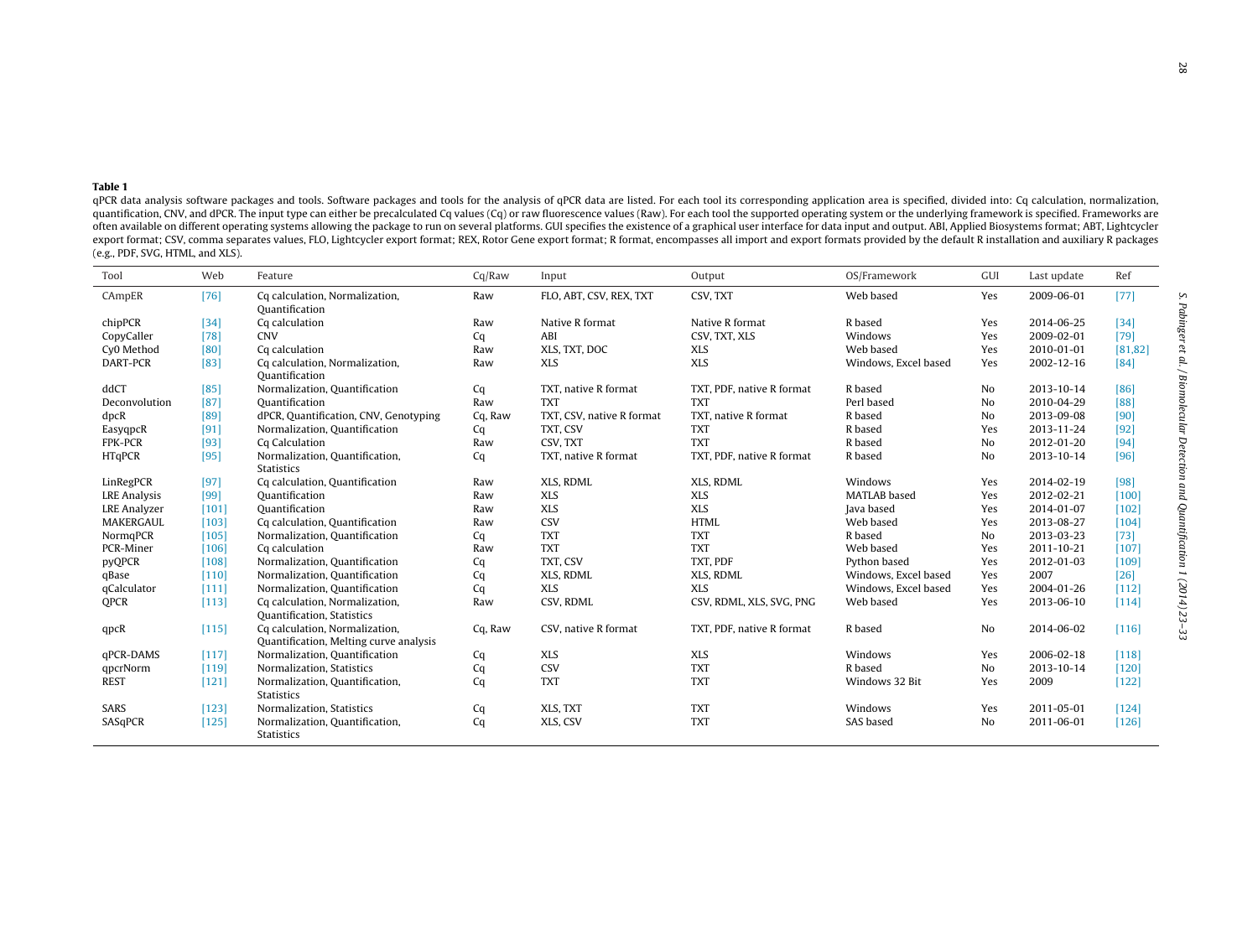#### <span id="page-5-0"></span>**Table 1**

qPCR data analysis software packages and tools. Software packages and tools for the analysis of qPCR data are listed. For each tool its corresponding application area is specified, divided into: Cq calculation, normalizati quantification, CNV, and dPCR. The input type can either be precalculated Cq values (Cq) or raw fluorescence values (Raw). For each tool the supported operating system or the underlying framework is specified. Frameworks a often available on different operating systems allowing the package to run on several platforms. GUI specifies the existence of a graphical user interface for data input and output. ABI, Applied Biosystems format; ABT, Lig export format; CSV, comma separates values, FLO, Lightcycler export format; REX, Rotor Gene export format; R format, encompasses all import and export formats provided by the default R installation and auxiliary R packages (e.g., PDF, SVG, HTML, and XLS).

| Tool                | Web     | Feature                                          | Cq/Raw  | Input                     | Output                    | OS/Framework         | GUI            | Last update | Ref      |
|---------------------|---------|--------------------------------------------------|---------|---------------------------|---------------------------|----------------------|----------------|-------------|----------|
| CAmpER              | $[76]$  | Cq calculation, Normalization,<br>Quantification | Raw     | FLO, ABT, CSV, REX, TXT   | CSV, TXT                  | Web based            | Yes            | 2009-06-01  | $[77]$   |
| chipPCR             | $[34]$  | Cq calculation                                   | Raw     | Native R format           | Native R format           | R based              | Yes            | 2014-06-25  | $[34]$   |
| CopyCaller          | $[78]$  | <b>CNV</b>                                       | Cq      | ABI                       | CSV, TXT, XLS             | Windows              | Yes            | 2009-02-01  | $[79]$   |
| Cy0 Method          | [80]    | Cq calculation                                   | Raw     | XLS, TXT, DOC             | <b>XLS</b>                | Web based            | Yes            | 2010-01-01  | [81, 82] |
| DART-PCR            | $[83]$  | Cq calculation, Normalization,                   | Raw     | <b>XLS</b>                | <b>XLS</b>                | Windows, Excel based | Yes            | 2002-12-16  | $[84]$   |
|                     |         | Quantification                                   |         |                           |                           |                      |                |             |          |
| ddCT                | [85]    | Normalization, Quantification                    | Cq      | TXT, native R format      | TXT. PDF. native R format | R based              | No             | 2013-10-14  | [86]     |
| Deconvolution       | $[87]$  | Quantification                                   | Raw     | <b>TXT</b>                | <b>TXT</b>                | Perl based           | No             | 2010-04-29  | [88]     |
| dpcR                | [89]    | dPCR, Quantification, CNV, Genotyping            | Cq, Raw | TXT, CSV, native R format | TXT, native R format      | R based              | N <sub>0</sub> | 2013-09-08  | [90]     |
| EasyqpcR            | [91]    | Normalization, Quantification                    | Cq      | TXT, CSV                  | <b>TXT</b>                | R based              | Yes            | 2013-11-24  | $[92]$   |
| <b>FPK-PCR</b>      | $[93]$  | Cq Calculation                                   | Raw     | CSV, TXT                  | <b>TXT</b>                | R based              | N <sub>0</sub> | 2012-01-20  | $[94]$   |
| <b>HTqPCR</b>       | $[95]$  | Normalization, Quantification,                   | Cq      | TXT, native R format      | TXT, PDF, native R format | R based              | N <sub>o</sub> | 2013-10-14  | $[96]$   |
|                     |         | <b>Statistics</b>                                |         |                           |                           |                      |                |             |          |
| LinRegPCR           | $[97]$  | Cq calculation, Quantification                   | Raw     | XLS, RDML                 | XLS, RDML                 | Windows              | Yes            | 2014-02-19  | $[98]$   |
| <b>LRE</b> Analysis | [99]    | Quantification                                   | Raw     | <b>XLS</b>                | <b>XLS</b>                | <b>MATLAB</b> based  | Yes            | 2012-02-21  | $[100]$  |
| <b>LRE</b> Analyzer | [101]   | Quantification                                   | Raw     | <b>XLS</b>                | <b>XLS</b>                | Java based           | Yes            | 2014-01-07  | [102]    |
| <b>MAKERGAUL</b>    | [103]   | Cq calculation, Quantification                   | Raw     | CSV                       | <b>HTML</b>               | Web based            | Yes            | 2013-08-27  | $[104]$  |
| NormqPCR            | [105]   | Normalization, Quantification                    | Cq      | <b>TXT</b>                | <b>TXT</b>                | R based              | No             | 2013-03-23  | $[73]$   |
| PCR-Miner           | [106]   | Cq calculation                                   | Raw     | <b>TXT</b>                | <b>TXT</b>                | Web based            | Yes            | 2011-10-21  | $[107]$  |
| pyQPCR              | [108]   | Normalization, Quantification                    | Cq      | TXT, CSV                  | TXT, PDF                  | Python based         | Yes            | 2012-01-03  | [109]    |
| qBase               | [110]   | Normalization, Quantification                    | Cq      | XLS, RDML                 | XLS, RDML                 | Windows, Excel based | Yes            | 2007        | $[26]$   |
| qCalculator         | [111]   | Normalization, Quantification                    | Cq      | <b>XLS</b>                | <b>XLS</b>                | Windows, Excel based | Yes            | 2004-01-26  | [112]    |
| <b>OPCR</b>         | [113]   | Cq calculation, Normalization,                   | Raw     | CSV, RDML                 | CSV, RDML, XLS, SVG, PNG  | Web based            | Yes            | 2013-06-10  | [114]    |
|                     |         | Quantification, Statistics                       |         |                           |                           |                      |                |             |          |
| qpcR                | [115]   | Cq calculation, Normalization,                   | Cq, Raw | CSV, native R format      | TXT, PDF, native R format | R based              | No             | 2014-06-02  | [116]    |
|                     |         | Quantification, Melting curve analysis           |         |                           |                           |                      |                |             |          |
| qPCR-DAMS           | [117]   | Normalization, Quantification                    | Cq      | <b>XLS</b>                | <b>XLS</b>                | Windows              | Yes            | 2006-02-18  | [118]    |
| qpcrNorm            | [119]   | Normalization, Statistics                        | Cq      | <b>CSV</b>                | <b>TXT</b>                | R based              | No             | 2013-10-14  | [120]    |
| <b>REST</b>         | [121]   | Normalization, Quantification,                   | Ca      | <b>TXT</b>                | <b>TXT</b>                | Windows 32 Bit       | Yes            | 2009        | [122]    |
|                     |         | <b>Statistics</b>                                |         |                           |                           |                      |                |             |          |
| SARS                | [123]   | Normalization, Statistics                        | Cq      | XLS, TXT                  | <b>TXT</b>                | Windows              | Yes            | 2011-05-01  | [124]    |
| SASqPCR             | $[125]$ | Normalization, Quantification,                   | Cq      | XLS, CSV                  | <b>TXT</b>                | SAS based            | No             | 2011-06-01  | [126]    |
|                     |         | <b>Statistics</b>                                |         |                           |                           |                      |                |             |          |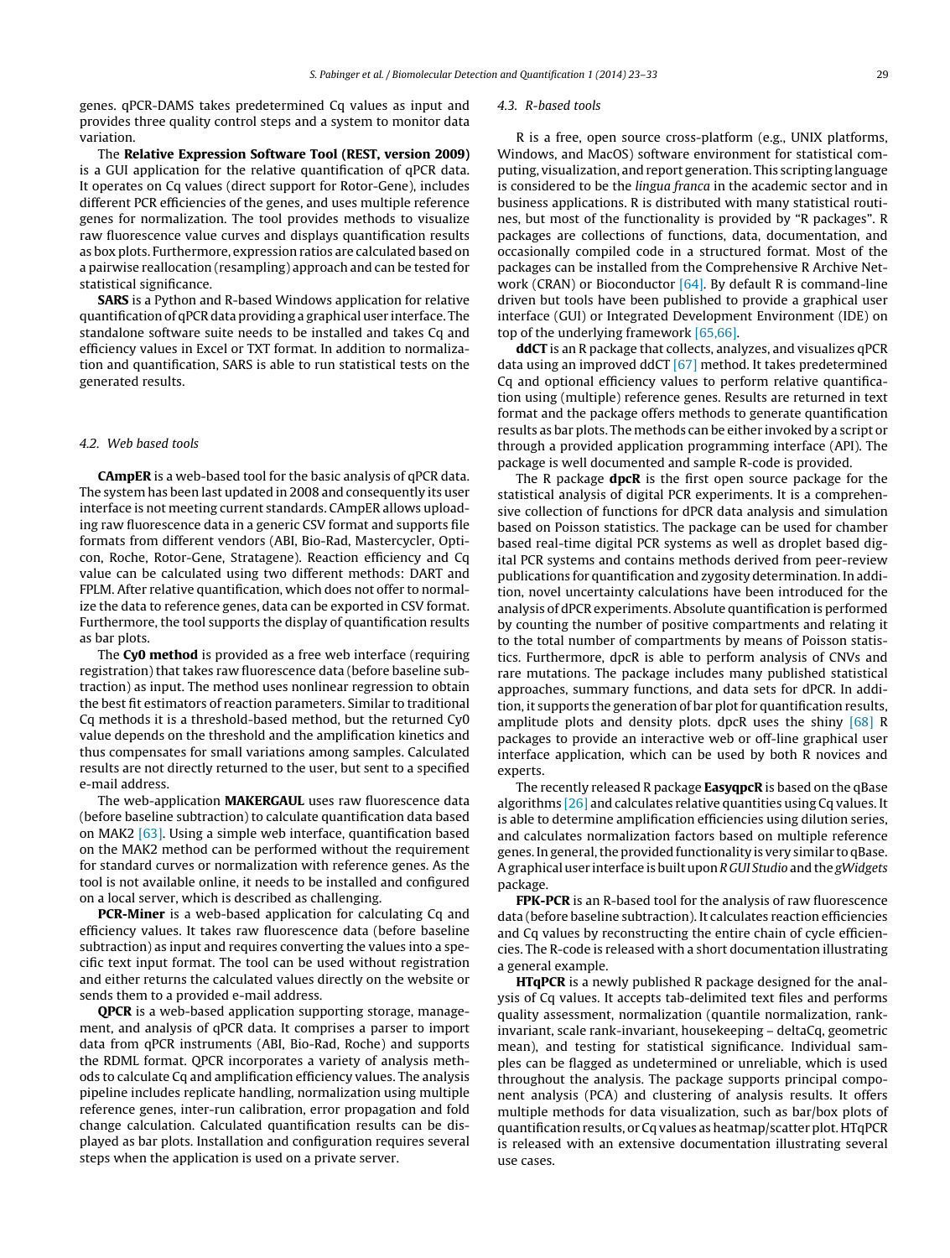genes. qPCR-DAMS takes predetermined Cq values as input and provides three quality control steps and a system to monitor data variation.

The **Relative Expression Software Tool (REST, version 2009)** is a GUI application for the relative quantification of qPCR data. It operates on Cq values (direct support for Rotor-Gene), includes different PCR efficiencies of the genes, and uses multiple reference genes for normalization. The tool provides methods to visualize raw fluorescence value curves and displays quantification results as box plots. Furthermore, expression ratios are calculated based on a pairwise reallocation (resampling) approach and can be tested for statistical significance.

**SARS** is a Python and R-based Windows application for relative quantification of qPCR data providing a graphical user interface. The standalone software suite needs to be installed and takes Cq and efficiency values in Excel or TXT format. In addition to normalization and quantification, SARS is able to run statistical tests on the generated results.

# 4.2. Web based tools

**CAmpER** is a web-based tool for the basic analysis of qPCR data. The system has been last updated in 2008 and consequently its user interface is not meeting current standards. CAmpER allows uploading raw fluorescence data in a generic CSV format and supports file formats from different vendors (ABI, Bio-Rad, Mastercycler, Opticon, Roche, Rotor-Gene, Stratagene). Reaction efficiency and Cq value can be calculated using two different methods: DART and FPLM. After relative quantification, which does not offer to normalize the data to reference genes, data can be exported in CSV format. Furthermore, the tool supports the display of quantification results as bar plots.

The **Cy0 method** is provided as a free web interface (requiring registration) that takes raw fluorescence data (before baseline subtraction) as input. The method uses nonlinear regression to obtain the best fit estimators of reaction parameters. Similar to traditional Cq methods it is a threshold-based method, but the returned Cy0 value depends on the threshold and the amplification kinetics and thus compensates for small variations among samples. Calculated results are not directly returned to the user, but sent to a specified e-mail address.

The web-application **MAKERGAUL** uses raw fluorescence data (before baseline subtraction) to calculate quantification data based on MAK2 [\[63\].](#page-10-0) Using a simple web interface, quantification based on the MAK2 method can be performed without the requirement for standard curves or normalization with reference genes. As the tool is not available online, it needs to be installed and configured on a local server, which is described as challenging.

**PCR-Miner** is a web-based application for calculating Cq and efficiency values. It takes raw fluorescence data (before baseline subtraction) as input and requires converting the values into a specific text input format. The tool can be used without registration and either returns the calculated values directly on the website or sends them to a provided e-mail address.

**QPCR** is a web-based application supporting storage, management, and analysis of qPCR data. It comprises a parser to import data from qPCR instruments (ABI, Bio-Rad, Roche) and supports the RDML format. QPCR incorporates a variety of analysis methods to calculate Cq and amplification efficiency values. The analysis pipeline includes replicate handling, normalization using multiple reference genes, inter-run calibration, error propagation and fold change calculation. Calculated quantification results can be displayed as bar plots. Installation and configuration requires several steps when the application is used on a private server.

#### 4.3. R-based tools

R is a free, open source cross-platform (e.g., UNIX platforms, Windows, and MacOS) software environment for statistical computing, visualization, and report generation. This scripting language is considered to be the lingua franca in the academic sector and in business applications. R is distributed with many statistical routines, but most of the functionality is provided by "R packages". R packages are collections of functions, data, documentation, and occasionally compiled code in a structured format. Most of the packages can be installed from the Comprehensive R Archive Network (CRAN) or Bioconductor  $[64]$ . By default R is command-line driven but tools have been published to provide a graphical user interface (GUI) or Integrated Development Environment (IDE) on top of the underlying framework [\[65,66\].](#page-10-0)

**ddCT** is an R package that collects, analyzes, and visualizes qPCR data using an improved ddCT [\[67\]](#page-10-0) method. It takes predetermined Cq and optional efficiency values to perform relative quantification using (multiple) reference genes. Results are returned in text format and the package offers methods to generate quantification results as bar plots. The methods can be either invoked by a script or through a provided application programming interface (API). The package is well documented and sample R-code is provided.

The R package **dpcR** is the first open source package for the statistical analysis of digital PCR experiments. It is a comprehensive collection of functions for dPCR data analysis and simulation based on Poisson statistics. The package can be used for chamber based real-time digital PCR systems as well as droplet based digital PCR systems and contains methods derived from peer-review publications for quantification and zygosity determination. In addition, novel uncertainty calculations have been introduced for the analysis of dPCR experiments. Absolute quantification is performed by counting the number of positive compartments and relating it to the total number of compartments by means of Poisson statistics. Furthermore, dpcR is able to perform analysis of CNVs and rare mutations. The package includes many published statistical approaches, summary functions, and data sets for dPCR. In addition, it supports the generation of bar plot for quantification results, amplitude plots and density plots. dpcR uses the shiny [\[68\]](#page-10-0) R packages to provide an interactive web or off-line graphical user interface application, which can be used by both R novices and experts.

The recently released R package **EasyqpcR** is based on the qBase algorithms [\[26\]](#page-9-0) and calculates relative quantities using Cq values. It is able to determine amplification efficiencies using dilution series, and calculates normalization factors based on multiple reference genes. In general, the provided functionality is very similar to qBase. A graphical user interface is built upon R GUI Studio and the gWidgets package.

**FPK-PCR** is an R-based tool for the analysis of raw fluorescence data (before baseline subtraction). It calculates reaction efficiencies and Cq values by reconstructing the entire chain of cycle efficiencies. The R-code is released with a short documentation illustrating a general example.

**HTqPCR** is a newly published R package designed for the analysis of Cq values. It accepts tab-delimited text files and performs quality assessment, normalization (quantile normalization, rankinvariant, scale rank-invariant, housekeeping – deltaCq, geometric mean), and testing for statistical significance. Individual samples can be flagged as undetermined or unreliable, which is used throughout the analysis. The package supports principal component analysis (PCA) and clustering of analysis results. It offers multiple methods for data visualization, such as bar/box plots of quantification results, or Cq values as heatmap/scatter plot. HTqPCR is released with an extensive documentation illustrating several use cases.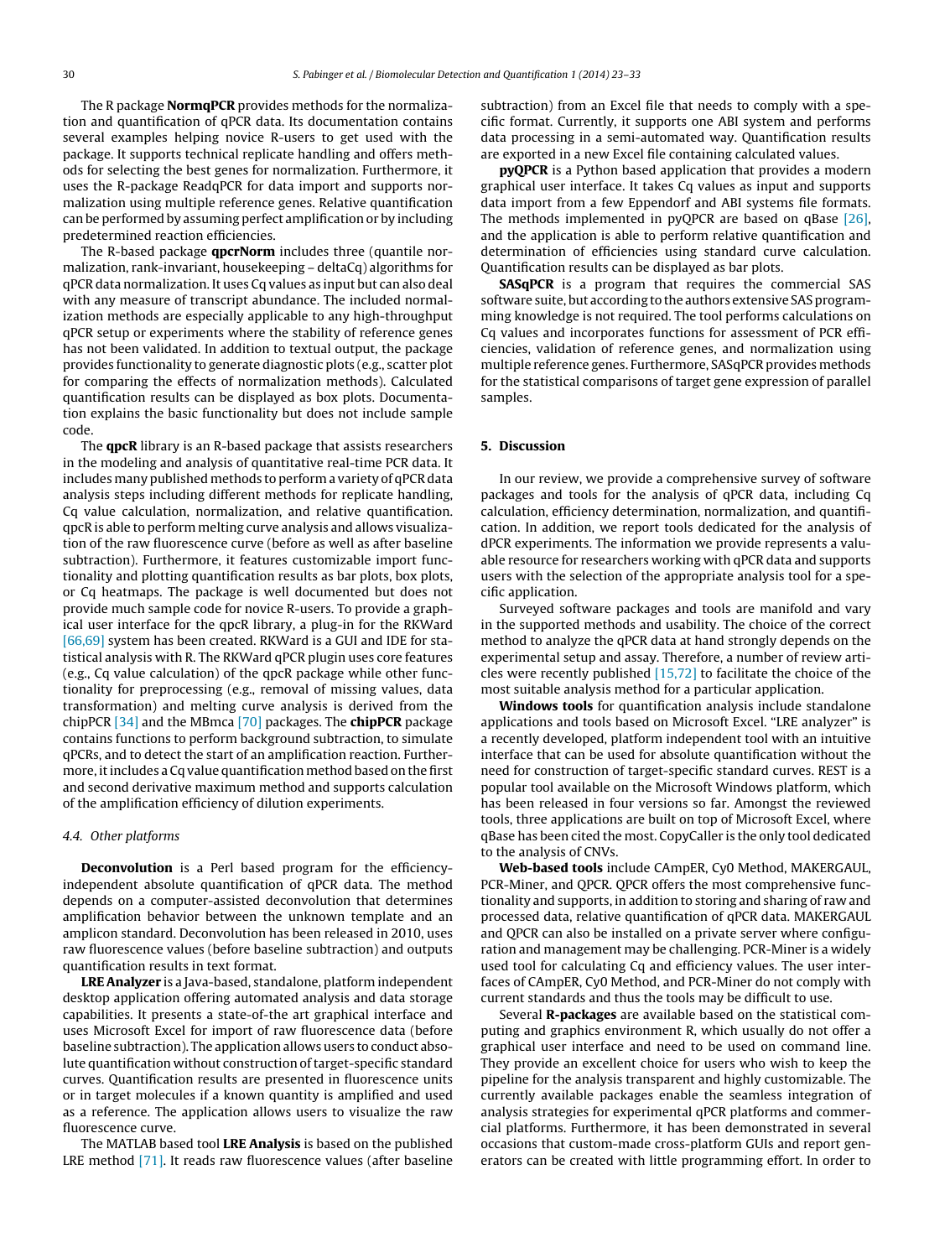The R package **NormqPCR** provides methods for the normalization and quantification of qPCR data. Its documentation contains several examples helping novice R-users to get used with the package. It supports technical replicate handling and offers methods for selecting the best genes for normalization. Furthermore, it uses the R-package ReadqPCR for data import and supports normalization using multiple reference genes. Relative quantification can be performed by assuming perfect amplification or by including predetermined reaction efficiencies.

The R-based package **qpcrNorm** includes three (quantile normalization, rank-invariant, housekeeping – deltaCq) algorithms for qPCR data normalization. It uses Cq values as input but can also deal with any measure of transcript abundance. The included normalization methods are especially applicable to any high-throughput qPCR setup or experiments where the stability of reference genes has not been validated. In addition to textual output, the package provides functionality to generate diagnostic plots (e.g., scatter plot for comparing the effects of normalization methods). Calculated quantification results can be displayed as box plots. Documentation explains the basic functionality but does not include sample code.

The **qpcR** library is an R-based package that assists researchers in the modeling and analysis of quantitative real-time PCR data. It includes many published methods to perform a variety of qPCR data analysis steps including different methods for replicate handling, Cq value calculation, normalization, and relative quantification. qpcR is able to perform melting curve analysis and allows visualization of the raw fluorescence curve (before as well as after baseline subtraction). Furthermore, it features customizable import functionality and plotting quantification results as bar plots, box plots, or Cq heatmaps. The package is well documented but does not provide much sample code for novice R-users. To provide a graphical user interface for the qpcR library, a plug-in for the RKWard [\[66,69\]](#page-10-0) system has been created. RKWard is a GUI and IDE for statistical analysis with R. The RKWard qPCR plugin uses core features (e.g., Cq value calculation) of the qpcR package while other functionality for preprocessing (e.g., removal of missing values, data transformation) and melting curve analysis is derived from the chipPCR [\[34\]](#page-9-0) and the MBmca [\[70\]](#page-10-0) packages. The **chipPCR** package contains functions to perform background subtraction, to simulate qPCRs, and to detect the start of an amplification reaction. Furthermore, itincludes a Cq value quantification method based on the first and second derivative maximum method and supports calculation of the amplification efficiency of dilution experiments.

#### 4.4. Other platforms

**Deconvolution** is a Perl based program for the efficiencyindependent absolute quantification of qPCR data. The method depends on a computer-assisted deconvolution that determines amplification behavior between the unknown template and an amplicon standard. Deconvolution has been released in 2010, uses raw fluorescence values (before baseline subtraction) and outputs quantification results in text format.

**LRE Analyzer** is a Java-based, standalone, platform independent desktop application offering automated analysis and data storage capabilities. It presents a state-of-the art graphical interface and uses Microsoft Excel for import of raw fluorescence data (before baseline subtraction). The application allows users to conduct absolute quantification without construction of target-specific standard curves. Quantification results are presented in fluorescence units or in target molecules if a known quantity is amplified and used as a reference. The application allows users to visualize the raw fluorescence curve.

The MATLAB based tool **LRE Analysis** is based on the published LRE method [\[71\].](#page-10-0) It reads raw fluorescence values (after baseline subtraction) from an Excel file that needs to comply with a specific format. Currently, it supports one ABI system and performs data processing in a semi-automated way. Quantification results are exported in a new Excel file containing calculated values.

**pyQPCR** is a Python based application that provides a modern graphical user interface. It takes Cq values as input and supports data import from a few Eppendorf and ABI systems file formats. The methods implemented in pyQPCR are based on qBase [\[26\],](#page-9-0) and the application is able to perform relative quantification and determination of efficiencies using standard curve calculation. Quantification results can be displayed as bar plots.

**SASqPCR** is a program that requires the commercial SAS software suite, but according to the authors extensive SAS programming knowledge is not required. The tool performs calculations on Cq values and incorporates functions for assessment of PCR efficiencies, validation of reference genes, and normalization using multiple reference genes. Furthermore, SASqPCR provides methods for the statistical comparisons of target gene expression of parallel samples.

# **5. Discussion**

In our review, we provide a comprehensive survey of software packages and tools for the analysis of qPCR data, including Cq calculation, efficiency determination, normalization, and quantification. In addition, we report tools dedicated for the analysis of dPCR experiments. The information we provide represents a valuable resource for researchers working with qPCR data and supports users with the selection of the appropriate analysis tool for a specific application.

Surveyed software packages and tools are manifold and vary in the supported methods and usability. The choice of the correct method to analyze the qPCR data at hand strongly depends on the experimental setup and assay. Therefore, a number of review articles were recently published  $[15,72]$  to facilitate the choice of the most suitable analysis method for a particular application.

**Windows tools** for quantification analysis include standalone applications and tools based on Microsoft Excel. "LRE analyzer" is a recently developed, platform independent tool with an intuitive interface that can be used for absolute quantification without the need for construction of target-specific standard curves. REST is a popular tool available on the Microsoft Windows platform, which has been released in four versions so far. Amongst the reviewed tools, three applications are built on top of Microsoft Excel, where qBase has been cited the most. CopyCaller is the only tool dedicated to the analysis of CNVs.

**Web-based tools** include CAmpER, Cy0 Method, MAKERGAUL, PCR-Miner, and QPCR. QPCR offers the most comprehensive functionality and supports, in addition to storing and sharing of raw and processed data, relative quantification of qPCR data. MAKERGAUL and QPCR can also be installed on a private server where configuration and management may be challenging. PCR-Miner is a widely used tool for calculating Cq and efficiency values. The user interfaces of CAmpER, Cy0 Method, and PCR-Miner do not comply with current standards and thus the tools may be difficult to use.

Several **R-packages** are available based on the statistical computing and graphics environment R, which usually do not offer a graphical user interface and need to be used on command line. They provide an excellent choice for users who wish to keep the pipeline for the analysis transparent and highly customizable. The currently available packages enable the seamless integration of analysis strategies for experimental qPCR platforms and commercial platforms. Furthermore, it has been demonstrated in several occasions that custom-made cross-platform GUIs and report generators can be created with little programming effort. In order to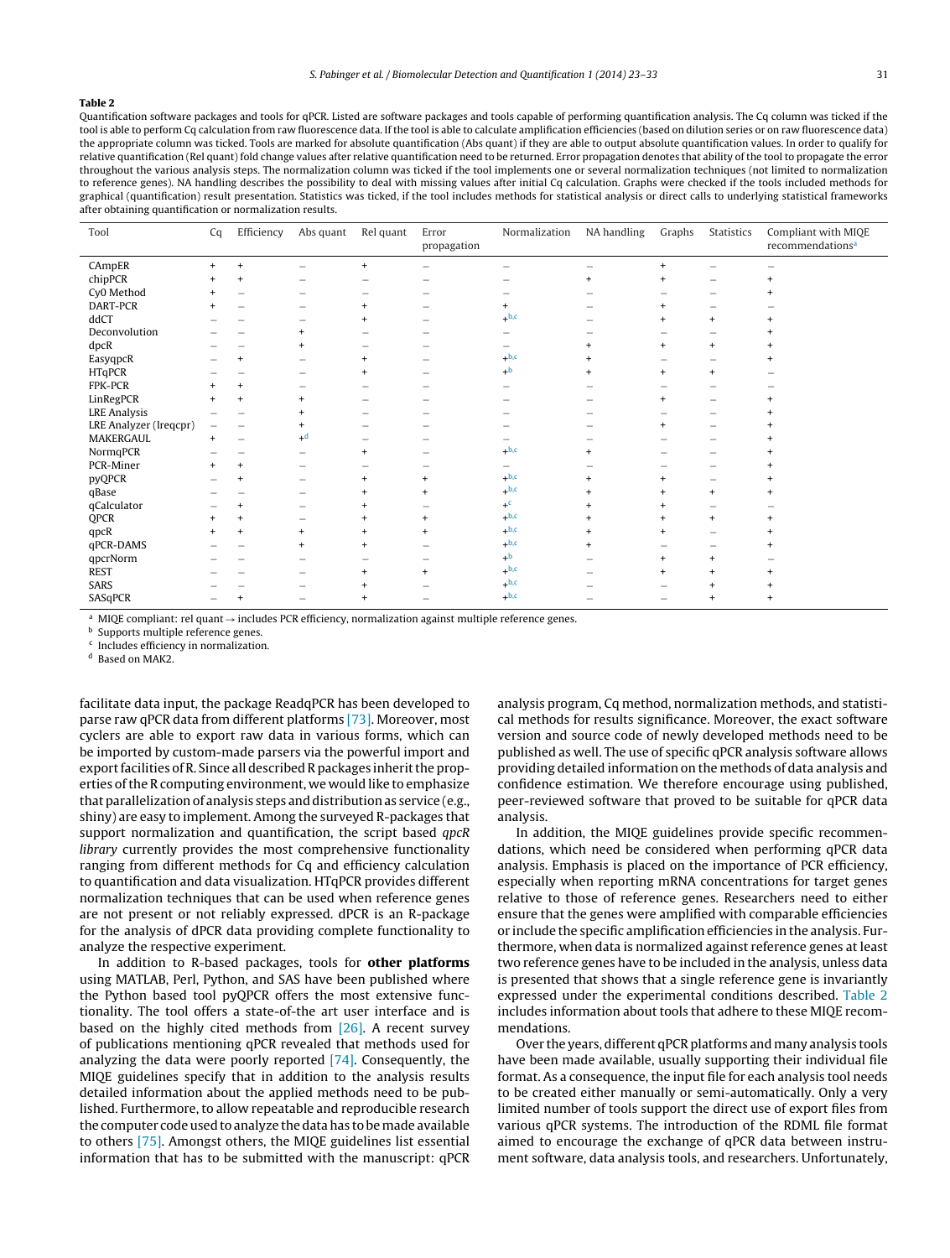# **Table 2**

Quantification software packages and tools for qPCR. Listed are software packages and tools capable of performing quantification analysis. The Cq column was ticked if the tool is able to perform Cq calculation from raw fluorescence data. If the tool is able to calculate amplification efficiencies (based on dilution series or on raw fluorescence data) the appropriate column was ticked. Tools are marked for absolute quantification (Abs quant) if they are able to output absolute quantification values. In order to qualify for relative quantification (Rel quant) fold change values after relative quantification need to be returned. Error propagation denotes that ability of the tool to propagate the error throughout the various analysis steps. The normalization column was ticked if the tool implements one or several normalization techniques (not limited to normalization to reference genes). NA handling describes the possibility to deal with missing values after initial Cq calculation. Graphs were checked if the tools included methods for graphical (quantification) result presentation. Statistics was ticked, if the tool includes methods for statistical analysis or direct calls to underlying statistical frameworks after obtaining quantification or normalization results.

| Tool                   | Cq        | Efficiency               | Abs quant                | Rel quant | Error<br>$\operatorname{propagation}$ | Normalization            | NA handling | Graphs    | <b>Statistics</b>        | Compliant with MIQE<br>recommendations <sup>a</sup> |
|------------------------|-----------|--------------------------|--------------------------|-----------|---------------------------------------|--------------------------|-------------|-----------|--------------------------|-----------------------------------------------------|
| CAmpER                 | $+$       | $+$                      | $\overline{\phantom{0}}$ | $+$       |                                       | $\overline{\phantom{0}}$ |             | $+$       |                          |                                                     |
| chipPCR                |           |                          |                          |           |                                       |                          | $\ddot{}$   |           |                          |                                                     |
| Cy0 Method             |           |                          |                          |           |                                       |                          |             |           |                          |                                                     |
| <b>DART-PCR</b>        |           |                          |                          | $\ddot{}$ |                                       | $\ddot{}$                |             | $\ddot{}$ |                          |                                                     |
| ddCT                   |           |                          |                          | $\ddot{}$ |                                       | $+b,c$                   |             | $\ddot{}$ | $+$                      |                                                     |
| Deconvolution          |           |                          | $\ddot{}$                |           |                                       |                          |             |           |                          |                                                     |
| dpcR                   |           |                          |                          |           |                                       |                          | $\ddot{}$   | $+$       | $+$                      |                                                     |
| EasyqpcR               |           | $\ddot{}$                | -                        | $+$       |                                       | $+b,c$                   | $\ddot{}$   |           |                          |                                                     |
| <b>HTqPCR</b>          |           |                          |                          | $\ddot{}$ | -                                     | $+b$                     | $\ddot{}$   | $\ddot{}$ | $+$                      |                                                     |
| <b>FPK-PCR</b>         |           | $\ddot{}$                |                          |           |                                       |                          |             |           |                          |                                                     |
| LinRegPCR              |           | $\ddot{}$                | $\ddot{}$                |           |                                       | -                        |             | $\ddot{}$ |                          |                                                     |
| <b>LRE Analysis</b>    |           |                          |                          |           |                                       |                          |             |           |                          |                                                     |
| LRE Analyzer (lreqcpr) |           |                          |                          |           |                                       |                          |             | $\ddot{}$ |                          |                                                     |
| MAKERGAUL              |           | $\overline{\phantom{0}}$ | $+d$                     |           |                                       |                          |             |           |                          |                                                     |
| NormqPCR               |           |                          | -                        | $\ddot{}$ |                                       | $+b,c$                   | $\ddot{}$   |           |                          |                                                     |
| PCR-Miner              |           |                          |                          |           |                                       |                          |             |           |                          |                                                     |
| pyQPCR                 |           |                          | -                        | $\ddot{}$ | $+$                                   | $+$ b,c                  | $\ddot{}$   |           | $\overline{\phantom{0}}$ |                                                     |
| qBase                  |           |                          |                          | $\ddot{}$ | $\ddot{}$                             | $+$ b,c                  | $\ddot{}$   | $\ddot{}$ | $+$                      |                                                     |
| qCalculator            |           |                          |                          | $\ddot{}$ |                                       | $+^c$                    | $\ddot{}$   |           |                          |                                                     |
| <b>QPCR</b>            | $\ddot{}$ | $\ddot{}$                |                          | $\ddot{}$ | $+$                                   | $+b,c$                   | $\ddot{}$   | $\ddot{}$ | $+$                      |                                                     |
| qpcR                   |           | $\overline{1}$           | $+$                      | +         | $+$                                   | $+b,c$                   | $\ddot{}$   |           |                          |                                                     |
| qPCR-DAMS              |           |                          | $+$                      | $+$       |                                       | $+b,c$                   | $+$         |           |                          |                                                     |
| qpcrNorm               |           |                          |                          |           |                                       | $+b$                     |             | $\ddot{}$ | $\ddot{}$                |                                                     |
| <b>REST</b>            |           |                          |                          | $\ddot{}$ | $\ddot{}$                             | $+$ b,c                  |             | $\ddot{}$ | $\ddot{}$                |                                                     |
| SARS                   |           |                          |                          | ÷         |                                       | $+$ b,c                  |             |           | $\overline{1}$           |                                                     |
| SASqPCR                |           |                          | -                        | $+$       | -                                     | $+b,c$                   |             | -         | $\ddot{}$                | $\ddot{}$                                           |

<sup>a</sup> MIQE compliant: rel quant → includes PCR efficiency, normalization against multiple reference genes. **b** Supports multiple reference genes.

<sup>c</sup> Includes efficiency in normalization.

<sup>d</sup> Based on MAK2.

facilitate data input, the package ReadqPCR has been developed to parse raw qPCR data from different platforms [\[73\].](#page-10-0) Moreover, most cyclers are able to export raw data in various forms, which can be imported by custom-made parsers via the powerful import and export facilities of R. Since all described R packages inherit the properties ofthe R computing environment, we would like to emphasize that parallelization of analysis steps and distribution as service (e.g., shiny) are easy to implement. Among the surveyed R-packages that support normalization and quantification, the script based qpcR library currently provides the most comprehensive functionality ranging from different methods for Cq and efficiency calculation to quantification and data visualization. HTqPCR provides different normalization techniques that can be used when reference genes are not present or not reliably expressed. dPCR is an R-package for the analysis of dPCR data providing complete functionality to analyze the respective experiment.

In addition to R-based packages, tools for **other platforms** using MATLAB, Perl, Python, and SAS have been published where the Python based tool pyQPCR offers the most extensive functionality. The tool offers a state-of-the art user interface and is based on the highly cited methods from [\[26\].](#page-9-0) A recent survey of publications mentioning qPCR revealed that methods used for analyzing the data were poorly reported [\[74\].](#page-10-0) Consequently, the MIQE guidelines specify that in addition to the analysis results detailed information about the applied methods need to be published. Furthermore, to allow repeatable and reproducible research the computer code used to analyze the data has to be made available to others [\[75\].](#page-10-0) Amongst others, the MIQE guidelines list essential information that has to be submitted with the manuscript: qPCR

analysis program, Cq method, normalization methods, and statistical methods for results significance. Moreover, the exact software version and source code of newly developed methods need to be published as well. The use of specific qPCR analysis software allows providing detailed information on the methods of data analysis and confidence estimation. We therefore encourage using published, peer-reviewed software that proved to be suitable for qPCR data analysis.

In addition, the MIQE guidelines provide specific recommendations, which need be considered when performing qPCR data analysis. Emphasis is placed on the importance of PCR efficiency, especially when reporting mRNA concentrations for target genes relative to those of reference genes. Researchers need to either ensure that the genes were amplified with comparable efficiencies or include the specific amplification efficiencies in the analysis. Furthermore, when data is normalized against reference genes at least two reference genes have to be included in the analysis, unless data is presented that shows that a single reference gene is invariantly expressed under the experimental conditions described. Table 2 includes information about tools that adhere to these MIQE recommendations.

Over the years, different qPCR platforms and many analysis tools have been made available, usually supporting their individual file format. As a consequence, the input file for each analysis tool needs to be created either manually or semi-automatically. Only a very limited number of tools support the direct use of export files from various qPCR systems. The introduction of the RDML file format aimed to encourage the exchange of qPCR data between instrument software, data analysis tools, and researchers. Unfortunately,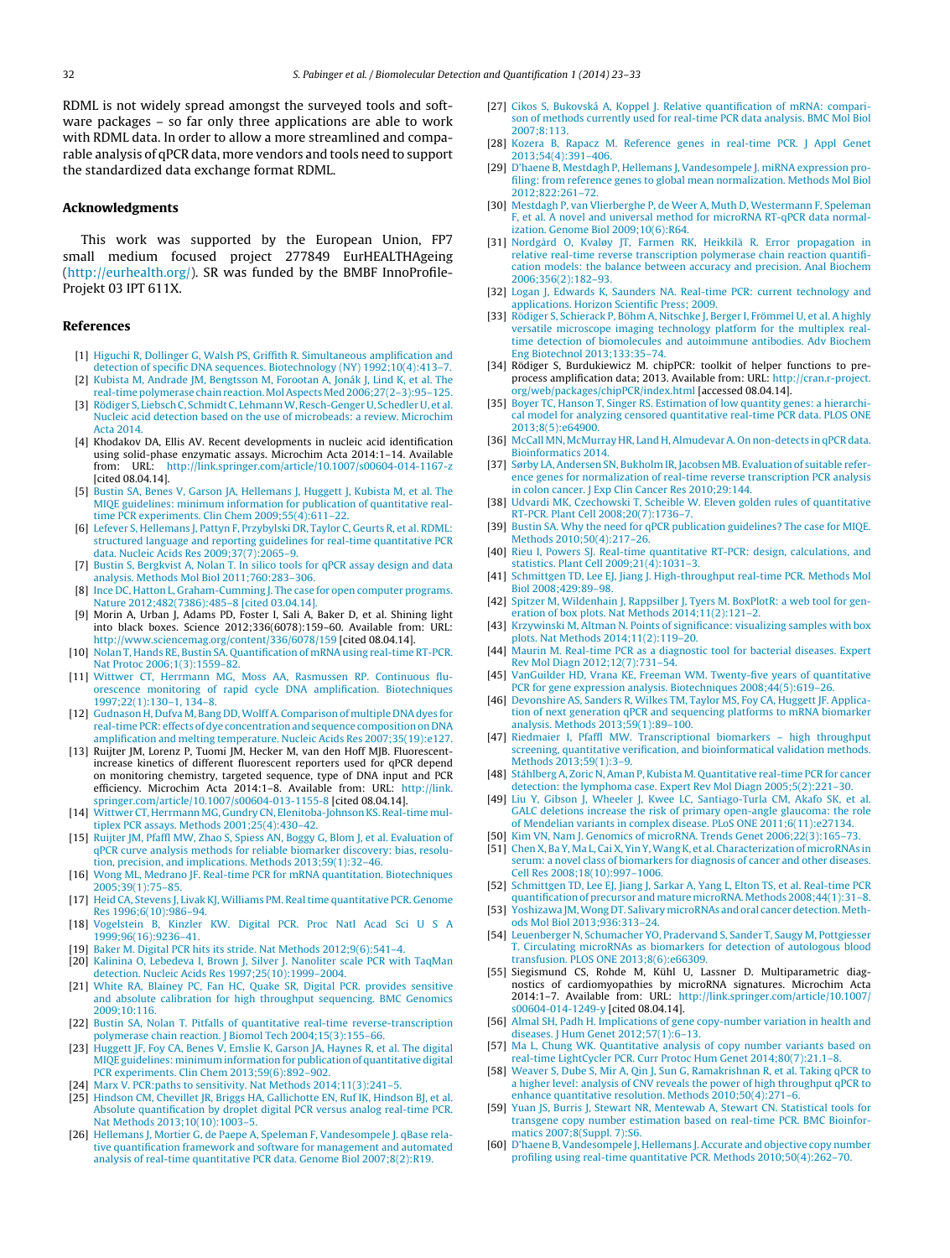<span id="page-9-0"></span>RDML is not widely spread amongst the surveyed tools and software packages – so far only three applications are able to work with RDML data. In order to allow a more streamlined and comparable analysis of qPCR data, more vendors and tools need to support the standardized data exchange format RDML.

# **Acknowledgments**

This work was supported by the European Union, FP7 small medium focused project 277849 EurHEALTHAgeing (<http://eurhealth.org/>). SR was funded by the BMBF InnoProfile-Projekt 03 IPT 611X.

# **References**

- [1] [Higuchi](http://refhub.elsevier.com/S2214-7535(14)00005-9/sbref0005) [R,](http://refhub.elsevier.com/S2214-7535(14)00005-9/sbref0005) [Dollinger](http://refhub.elsevier.com/S2214-7535(14)00005-9/sbref0005) [G,](http://refhub.elsevier.com/S2214-7535(14)00005-9/sbref0005) [Walsh](http://refhub.elsevier.com/S2214-7535(14)00005-9/sbref0005) [PS,](http://refhub.elsevier.com/S2214-7535(14)00005-9/sbref0005) [Griffith](http://refhub.elsevier.com/S2214-7535(14)00005-9/sbref0005) [R.](http://refhub.elsevier.com/S2214-7535(14)00005-9/sbref0005) [Simultaneous](http://refhub.elsevier.com/S2214-7535(14)00005-9/sbref0005) [amplification](http://refhub.elsevier.com/S2214-7535(14)00005-9/sbref0005) [and](http://refhub.elsevier.com/S2214-7535(14)00005-9/sbref0005) [detection](http://refhub.elsevier.com/S2214-7535(14)00005-9/sbref0005) [of](http://refhub.elsevier.com/S2214-7535(14)00005-9/sbref0005) [specific](http://refhub.elsevier.com/S2214-7535(14)00005-9/sbref0005) [DNA](http://refhub.elsevier.com/S2214-7535(14)00005-9/sbref0005) [sequences.](http://refhub.elsevier.com/S2214-7535(14)00005-9/sbref0005) [Biotechnology](http://refhub.elsevier.com/S2214-7535(14)00005-9/sbref0005) [\(NY\)](http://refhub.elsevier.com/S2214-7535(14)00005-9/sbref0005) [1992;10\(4\):413–7.](http://refhub.elsevier.com/S2214-7535(14)00005-9/sbref0005)
- [2] [Kubista](http://refhub.elsevier.com/S2214-7535(14)00005-9/sbref0010) [M,](http://refhub.elsevier.com/S2214-7535(14)00005-9/sbref0010) [Andrade](http://refhub.elsevier.com/S2214-7535(14)00005-9/sbref0010) [JM,](http://refhub.elsevier.com/S2214-7535(14)00005-9/sbref0010) [Bengtsson](http://refhub.elsevier.com/S2214-7535(14)00005-9/sbref0010) [M,](http://refhub.elsevier.com/S2214-7535(14)00005-9/sbref0010) [Forootan](http://refhub.elsevier.com/S2214-7535(14)00005-9/sbref0010) [A,](http://refhub.elsevier.com/S2214-7535(14)00005-9/sbref0010) [Jonák](http://refhub.elsevier.com/S2214-7535(14)00005-9/sbref0010) [J,](http://refhub.elsevier.com/S2214-7535(14)00005-9/sbref0010) [Lind](http://refhub.elsevier.com/S2214-7535(14)00005-9/sbref0010) [K,](http://refhub.elsevier.com/S2214-7535(14)00005-9/sbref0010) [et](http://refhub.elsevier.com/S2214-7535(14)00005-9/sbref0010) [al.](http://refhub.elsevier.com/S2214-7535(14)00005-9/sbref0010) [The](http://refhub.elsevier.com/S2214-7535(14)00005-9/sbref0010) real-time polymerase chain reaction. Mol Aspects Med 2006:27(2-3):95-125.
- [3] [Rödiger](http://refhub.elsevier.com/S2214-7535(14)00005-9/sbref0015) [S,](http://refhub.elsevier.com/S2214-7535(14)00005-9/sbref0015) Liebsch C, Schmidt C, Lehmann W, Resch-Genger [U,](http://refhub.elsevier.com/S2214-7535(14)00005-9/sbref0015) [Schedler](http://refhub.elsevier.com/S2214-7535(14)00005-9/sbref0015) U, [et](http://refhub.elsevier.com/S2214-7535(14)00005-9/sbref0015) [al.](http://refhub.elsevier.com/S2214-7535(14)00005-9/sbref0015) [Nucleic](http://refhub.elsevier.com/S2214-7535(14)00005-9/sbref0015) [acid](http://refhub.elsevier.com/S2214-7535(14)00005-9/sbref0015) [detection](http://refhub.elsevier.com/S2214-7535(14)00005-9/sbref0015) [based](http://refhub.elsevier.com/S2214-7535(14)00005-9/sbref0015) [on](http://refhub.elsevier.com/S2214-7535(14)00005-9/sbref0015) [the](http://refhub.elsevier.com/S2214-7535(14)00005-9/sbref0015) [use](http://refhub.elsevier.com/S2214-7535(14)00005-9/sbref0015) [of](http://refhub.elsevier.com/S2214-7535(14)00005-9/sbref0015) [microbeads:](http://refhub.elsevier.com/S2214-7535(14)00005-9/sbref0015) [a](http://refhub.elsevier.com/S2214-7535(14)00005-9/sbref0015) [review.](http://refhub.elsevier.com/S2214-7535(14)00005-9/sbref0015) [Microchim](http://refhub.elsevier.com/S2214-7535(14)00005-9/sbref0015) [Acta](http://refhub.elsevier.com/S2214-7535(14)00005-9/sbref0015) [2014.](http://refhub.elsevier.com/S2214-7535(14)00005-9/sbref0015)
- [4] Khodakov DA, Ellis AV. Recent developments in nucleic acid identification using solid-phase enzymatic assays. Microchim Acta 2014:1–14. Available from: URL: <http://link.springer.com/article/10.1007/s00604-014-1167-z> [cited 08.04.14].
- [5] [Bustin](http://refhub.elsevier.com/S2214-7535(14)00005-9/sbref0025) [SA,](http://refhub.elsevier.com/S2214-7535(14)00005-9/sbref0025) [Benes](http://refhub.elsevier.com/S2214-7535(14)00005-9/sbref0025) [V,](http://refhub.elsevier.com/S2214-7535(14)00005-9/sbref0025) [Garson](http://refhub.elsevier.com/S2214-7535(14)00005-9/sbref0025) [JA,](http://refhub.elsevier.com/S2214-7535(14)00005-9/sbref0025) [Hellemans](http://refhub.elsevier.com/S2214-7535(14)00005-9/sbref0025) [J,](http://refhub.elsevier.com/S2214-7535(14)00005-9/sbref0025) [Huggett](http://refhub.elsevier.com/S2214-7535(14)00005-9/sbref0025) [J,](http://refhub.elsevier.com/S2214-7535(14)00005-9/sbref0025) [Kubista](http://refhub.elsevier.com/S2214-7535(14)00005-9/sbref0025) [M,](http://refhub.elsevier.com/S2214-7535(14)00005-9/sbref0025) [et](http://refhub.elsevier.com/S2214-7535(14)00005-9/sbref0025) [al.](http://refhub.elsevier.com/S2214-7535(14)00005-9/sbref0025) [The](http://refhub.elsevier.com/S2214-7535(14)00005-9/sbref0025) [MIQE](http://refhub.elsevier.com/S2214-7535(14)00005-9/sbref0025) [guidelines:](http://refhub.elsevier.com/S2214-7535(14)00005-9/sbref0025) [minimum](http://refhub.elsevier.com/S2214-7535(14)00005-9/sbref0025) [information](http://refhub.elsevier.com/S2214-7535(14)00005-9/sbref0025) [for](http://refhub.elsevier.com/S2214-7535(14)00005-9/sbref0025) [publication](http://refhub.elsevier.com/S2214-7535(14)00005-9/sbref0025) [of](http://refhub.elsevier.com/S2214-7535(14)00005-9/sbref0025) [quantitative](http://refhub.elsevier.com/S2214-7535(14)00005-9/sbref0025) [real](http://refhub.elsevier.com/S2214-7535(14)00005-9/sbref0025)[time](http://refhub.elsevier.com/S2214-7535(14)00005-9/sbref0025) [PCR](http://refhub.elsevier.com/S2214-7535(14)00005-9/sbref0025) [experiments.](http://refhub.elsevier.com/S2214-7535(14)00005-9/sbref0025) [Clin](http://refhub.elsevier.com/S2214-7535(14)00005-9/sbref0025) [Chem](http://refhub.elsevier.com/S2214-7535(14)00005-9/sbref0025) [2009;55\(4\):611](http://refhub.elsevier.com/S2214-7535(14)00005-9/sbref0025)–[22.](http://refhub.elsevier.com/S2214-7535(14)00005-9/sbref0025)
- [6] [Lefever](http://refhub.elsevier.com/S2214-7535(14)00005-9/sbref0030) [S,](http://refhub.elsevier.com/S2214-7535(14)00005-9/sbref0030) [Hellemans](http://refhub.elsevier.com/S2214-7535(14)00005-9/sbref0030) [J,](http://refhub.elsevier.com/S2214-7535(14)00005-9/sbref0030) [Pattyn](http://refhub.elsevier.com/S2214-7535(14)00005-9/sbref0030) [F,](http://refhub.elsevier.com/S2214-7535(14)00005-9/sbref0030) [Przybylski](http://refhub.elsevier.com/S2214-7535(14)00005-9/sbref0030) [DR,](http://refhub.elsevier.com/S2214-7535(14)00005-9/sbref0030) [Taylor](http://refhub.elsevier.com/S2214-7535(14)00005-9/sbref0030) [C,](http://refhub.elsevier.com/S2214-7535(14)00005-9/sbref0030) [Geurts](http://refhub.elsevier.com/S2214-7535(14)00005-9/sbref0030) [R,](http://refhub.elsevier.com/S2214-7535(14)00005-9/sbref0030) [et](http://refhub.elsevier.com/S2214-7535(14)00005-9/sbref0030) [al.](http://refhub.elsevier.com/S2214-7535(14)00005-9/sbref0030) [RDML:](http://refhub.elsevier.com/S2214-7535(14)00005-9/sbref0030) [structured](http://refhub.elsevier.com/S2214-7535(14)00005-9/sbref0030) [language](http://refhub.elsevier.com/S2214-7535(14)00005-9/sbref0030) [and](http://refhub.elsevier.com/S2214-7535(14)00005-9/sbref0030) [reporting](http://refhub.elsevier.com/S2214-7535(14)00005-9/sbref0030) [guidelines](http://refhub.elsevier.com/S2214-7535(14)00005-9/sbref0030) [for](http://refhub.elsevier.com/S2214-7535(14)00005-9/sbref0030) [real-time](http://refhub.elsevier.com/S2214-7535(14)00005-9/sbref0030) [quantitative](http://refhub.elsevier.com/S2214-7535(14)00005-9/sbref0030) [PCR](http://refhub.elsevier.com/S2214-7535(14)00005-9/sbref0030) [data.](http://refhub.elsevier.com/S2214-7535(14)00005-9/sbref0030) [Nucleic](http://refhub.elsevier.com/S2214-7535(14)00005-9/sbref0030) [Acids](http://refhub.elsevier.com/S2214-7535(14)00005-9/sbref0030) [Res](http://refhub.elsevier.com/S2214-7535(14)00005-9/sbref0030) [2009;37\(7\):2065](http://refhub.elsevier.com/S2214-7535(14)00005-9/sbref0030)–[9.](http://refhub.elsevier.com/S2214-7535(14)00005-9/sbref0030)
- [7] [Bustin](http://refhub.elsevier.com/S2214-7535(14)00005-9/sbref0035) [S,](http://refhub.elsevier.com/S2214-7535(14)00005-9/sbref0035) [Bergkvist](http://refhub.elsevier.com/S2214-7535(14)00005-9/sbref0035) [A,](http://refhub.elsevier.com/S2214-7535(14)00005-9/sbref0035) [Nolan](http://refhub.elsevier.com/S2214-7535(14)00005-9/sbref0035) [T.](http://refhub.elsevier.com/S2214-7535(14)00005-9/sbref0035) [In](http://refhub.elsevier.com/S2214-7535(14)00005-9/sbref0035) [silico](http://refhub.elsevier.com/S2214-7535(14)00005-9/sbref0035) [tools](http://refhub.elsevier.com/S2214-7535(14)00005-9/sbref0035) [for](http://refhub.elsevier.com/S2214-7535(14)00005-9/sbref0035) [qPCR](http://refhub.elsevier.com/S2214-7535(14)00005-9/sbref0035) [assay](http://refhub.elsevier.com/S2214-7535(14)00005-9/sbref0035) [design](http://refhub.elsevier.com/S2214-7535(14)00005-9/sbref0035) [and](http://refhub.elsevier.com/S2214-7535(14)00005-9/sbref0035) [data](http://refhub.elsevier.com/S2214-7535(14)00005-9/sbref0035) [analysis.](http://refhub.elsevier.com/S2214-7535(14)00005-9/sbref0035) [Methods](http://refhub.elsevier.com/S2214-7535(14)00005-9/sbref0035) [Mol](http://refhub.elsevier.com/S2214-7535(14)00005-9/sbref0035) [Biol](http://refhub.elsevier.com/S2214-7535(14)00005-9/sbref0035) [2011;760:283](http://refhub.elsevier.com/S2214-7535(14)00005-9/sbref0035)–[306.](http://refhub.elsevier.com/S2214-7535(14)00005-9/sbref0035)
- [8] [Ince](http://refhub.elsevier.com/S2214-7535(14)00005-9/sbref0040) [DC,](http://refhub.elsevier.com/S2214-7535(14)00005-9/sbref0040) [Hatton](http://refhub.elsevier.com/S2214-7535(14)00005-9/sbref0040) [L,](http://refhub.elsevier.com/S2214-7535(14)00005-9/sbref0040) [Graham-Cumming](http://refhub.elsevier.com/S2214-7535(14)00005-9/sbref0040) [J.](http://refhub.elsevier.com/S2214-7535(14)00005-9/sbref0040) [The](http://refhub.elsevier.com/S2214-7535(14)00005-9/sbref0040) [case](http://refhub.elsevier.com/S2214-7535(14)00005-9/sbref0040) [for](http://refhub.elsevier.com/S2214-7535(14)00005-9/sbref0040) [open](http://refhub.elsevier.com/S2214-7535(14)00005-9/sbref0040) [computer](http://refhub.elsevier.com/S2214-7535(14)00005-9/sbref0040) [programs.](http://refhub.elsevier.com/S2214-7535(14)00005-9/sbref0040) [Nature](http://refhub.elsevier.com/S2214-7535(14)00005-9/sbref0040) [2012;482\(7386\):485](http://refhub.elsevier.com/S2214-7535(14)00005-9/sbref0040)–[8](http://refhub.elsevier.com/S2214-7535(14)00005-9/sbref0040) [\[cited](http://refhub.elsevier.com/S2214-7535(14)00005-9/sbref0040) [03.04.14\].](http://refhub.elsevier.com/S2214-7535(14)00005-9/sbref0040)
- [9] Morin A, Urban J, Adams PD, Foster I, Sali A, Baker D, et al. Shining light into black boxes. Science 2012;336(6078):159–60. Available from: URL: <http://www.sciencemag.org/content/336/6078/159> [cited 08.04.14].
- [10] [Nolan](http://refhub.elsevier.com/S2214-7535(14)00005-9/sbref0050) [T,](http://refhub.elsevier.com/S2214-7535(14)00005-9/sbref0050) [Hands](http://refhub.elsevier.com/S2214-7535(14)00005-9/sbref0050) [RE,](http://refhub.elsevier.com/S2214-7535(14)00005-9/sbref0050) [Bustin](http://refhub.elsevier.com/S2214-7535(14)00005-9/sbref0050) [SA.](http://refhub.elsevier.com/S2214-7535(14)00005-9/sbref0050) [Quantification](http://refhub.elsevier.com/S2214-7535(14)00005-9/sbref0050) [of](http://refhub.elsevier.com/S2214-7535(14)00005-9/sbref0050) [mRNA](http://refhub.elsevier.com/S2214-7535(14)00005-9/sbref0050) [using](http://refhub.elsevier.com/S2214-7535(14)00005-9/sbref0050) [real-time](http://refhub.elsevier.com/S2214-7535(14)00005-9/sbref0050) [RT-PCR.](http://refhub.elsevier.com/S2214-7535(14)00005-9/sbref0050) [Nat](http://refhub.elsevier.com/S2214-7535(14)00005-9/sbref0050) [Protoc](http://refhub.elsevier.com/S2214-7535(14)00005-9/sbref0050) [2006;1\(3\):1559](http://refhub.elsevier.com/S2214-7535(14)00005-9/sbref0050)–[82.](http://refhub.elsevier.com/S2214-7535(14)00005-9/sbref0050)
- [11] [Wittwer](http://refhub.elsevier.com/S2214-7535(14)00005-9/sbref0055) [CT,](http://refhub.elsevier.com/S2214-7535(14)00005-9/sbref0055) [Herrmann](http://refhub.elsevier.com/S2214-7535(14)00005-9/sbref0055) [MG,](http://refhub.elsevier.com/S2214-7535(14)00005-9/sbref0055) [Moss](http://refhub.elsevier.com/S2214-7535(14)00005-9/sbref0055) [AA,](http://refhub.elsevier.com/S2214-7535(14)00005-9/sbref0055) [Rasmussen](http://refhub.elsevier.com/S2214-7535(14)00005-9/sbref0055) [RP.](http://refhub.elsevier.com/S2214-7535(14)00005-9/sbref0055) [Continuous](http://refhub.elsevier.com/S2214-7535(14)00005-9/sbref0055) [flu](http://refhub.elsevier.com/S2214-7535(14)00005-9/sbref0055)[orescence](http://refhub.elsevier.com/S2214-7535(14)00005-9/sbref0055) [monitoring](http://refhub.elsevier.com/S2214-7535(14)00005-9/sbref0055) [of](http://refhub.elsevier.com/S2214-7535(14)00005-9/sbref0055) [rapid](http://refhub.elsevier.com/S2214-7535(14)00005-9/sbref0055) [cycle](http://refhub.elsevier.com/S2214-7535(14)00005-9/sbref0055) [DNA](http://refhub.elsevier.com/S2214-7535(14)00005-9/sbref0055) [amplification.](http://refhub.elsevier.com/S2214-7535(14)00005-9/sbref0055) [Biotechniques](http://refhub.elsevier.com/S2214-7535(14)00005-9/sbref0055) [1997;22\(1\):130–1,](http://refhub.elsevier.com/S2214-7535(14)00005-9/sbref0055) [134–8.](http://refhub.elsevier.com/S2214-7535(14)00005-9/sbref0055)
- [12] [Gudnason](http://refhub.elsevier.com/S2214-7535(14)00005-9/sbref0060) [H,](http://refhub.elsevier.com/S2214-7535(14)00005-9/sbref0060) [Dufva](http://refhub.elsevier.com/S2214-7535(14)00005-9/sbref0060) [M,](http://refhub.elsevier.com/S2214-7535(14)00005-9/sbref0060) [Bang](http://refhub.elsevier.com/S2214-7535(14)00005-9/sbref0060) DD, Wolff A. [Comparison](http://refhub.elsevier.com/S2214-7535(14)00005-9/sbref0060) [of](http://refhub.elsevier.com/S2214-7535(14)00005-9/sbref0060) [multiple](http://refhub.elsevier.com/S2214-7535(14)00005-9/sbref0060) DNA dyes [for](http://refhub.elsevier.com/S2214-7535(14)00005-9/sbref0060) [real-time](http://refhub.elsevier.com/S2214-7535(14)00005-9/sbref0060) [PCR:](http://refhub.elsevier.com/S2214-7535(14)00005-9/sbref0060) [effects](http://refhub.elsevier.com/S2214-7535(14)00005-9/sbref0060) of dye concentration and sequence composition on [DNA](http://refhub.elsevier.com/S2214-7535(14)00005-9/sbref0060) [amplification](http://refhub.elsevier.com/S2214-7535(14)00005-9/sbref0060) [and](http://refhub.elsevier.com/S2214-7535(14)00005-9/sbref0060) [melting](http://refhub.elsevier.com/S2214-7535(14)00005-9/sbref0060) [temperature.](http://refhub.elsevier.com/S2214-7535(14)00005-9/sbref0060) [Nucleic](http://refhub.elsevier.com/S2214-7535(14)00005-9/sbref0060) [Acids](http://refhub.elsevier.com/S2214-7535(14)00005-9/sbref0060) [Res](http://refhub.elsevier.com/S2214-7535(14)00005-9/sbref0060) [2007;35\(19\):e127.](http://refhub.elsevier.com/S2214-7535(14)00005-9/sbref0060)
- [13] Ruijter JM, Lorenz P, Tuomi JM, Hecker M, van den Hoff MJB. Fluorescentincrease kinetics of different fluorescent reporters used for qPCR depend on monitoring chemistry, targeted sequence, type of DNA input and PCR efficiency. Microchim Acta 2014:1–8. Available from: URL: [http://link.](http://link.springer.com/article/10.1007/s00604-013-1155-8) [springer.com/article/10.1007/s00604-013-1155-8](http://link.springer.com/article/10.1007/s00604-013-1155-8) [cited 08.04.14].
- [14] [Wittwer](http://refhub.elsevier.com/S2214-7535(14)00005-9/sbref0070) [CT,](http://refhub.elsevier.com/S2214-7535(14)00005-9/sbref0070) [Herrmann](http://refhub.elsevier.com/S2214-7535(14)00005-9/sbref0070) [MG,](http://refhub.elsevier.com/S2214-7535(14)00005-9/sbref0070) [Gundry](http://refhub.elsevier.com/S2214-7535(14)00005-9/sbref0070) [CN,](http://refhub.elsevier.com/S2214-7535(14)00005-9/sbref0070) Elenitoba-Johnson KS. [Real-time](http://refhub.elsevier.com/S2214-7535(14)00005-9/sbref0070) [mul](http://refhub.elsevier.com/S2214-7535(14)00005-9/sbref0070)[tiplex](http://refhub.elsevier.com/S2214-7535(14)00005-9/sbref0070) [PCR](http://refhub.elsevier.com/S2214-7535(14)00005-9/sbref0070) [assays.](http://refhub.elsevier.com/S2214-7535(14)00005-9/sbref0070) [Methods](http://refhub.elsevier.com/S2214-7535(14)00005-9/sbref0070) [2001;25\(4\):430–42.](http://refhub.elsevier.com/S2214-7535(14)00005-9/sbref0070)
- [15] [Ruijter](http://refhub.elsevier.com/S2214-7535(14)00005-9/sbref0075) [JM,](http://refhub.elsevier.com/S2214-7535(14)00005-9/sbref0075) [Pfaffl](http://refhub.elsevier.com/S2214-7535(14)00005-9/sbref0075) [MW,](http://refhub.elsevier.com/S2214-7535(14)00005-9/sbref0075) [Zhao](http://refhub.elsevier.com/S2214-7535(14)00005-9/sbref0075) [S,](http://refhub.elsevier.com/S2214-7535(14)00005-9/sbref0075) [Spiess](http://refhub.elsevier.com/S2214-7535(14)00005-9/sbref0075) [AN,](http://refhub.elsevier.com/S2214-7535(14)00005-9/sbref0075) [Boggy](http://refhub.elsevier.com/S2214-7535(14)00005-9/sbref0075) [G,](http://refhub.elsevier.com/S2214-7535(14)00005-9/sbref0075) [Blom](http://refhub.elsevier.com/S2214-7535(14)00005-9/sbref0075) [J,](http://refhub.elsevier.com/S2214-7535(14)00005-9/sbref0075) [et](http://refhub.elsevier.com/S2214-7535(14)00005-9/sbref0075) [al.](http://refhub.elsevier.com/S2214-7535(14)00005-9/sbref0075) [Evaluation](http://refhub.elsevier.com/S2214-7535(14)00005-9/sbref0075) [of](http://refhub.elsevier.com/S2214-7535(14)00005-9/sbref0075) [qPCR](http://refhub.elsevier.com/S2214-7535(14)00005-9/sbref0075) [curve](http://refhub.elsevier.com/S2214-7535(14)00005-9/sbref0075) [analysis](http://refhub.elsevier.com/S2214-7535(14)00005-9/sbref0075) [methods](http://refhub.elsevier.com/S2214-7535(14)00005-9/sbref0075) [for](http://refhub.elsevier.com/S2214-7535(14)00005-9/sbref0075) [reliable](http://refhub.elsevier.com/S2214-7535(14)00005-9/sbref0075) [biomarker](http://refhub.elsevier.com/S2214-7535(14)00005-9/sbref0075) [discovery:](http://refhub.elsevier.com/S2214-7535(14)00005-9/sbref0075) [bias,](http://refhub.elsevier.com/S2214-7535(14)00005-9/sbref0075) [resolu](http://refhub.elsevier.com/S2214-7535(14)00005-9/sbref0075)[tion,](http://refhub.elsevier.com/S2214-7535(14)00005-9/sbref0075) [precision,](http://refhub.elsevier.com/S2214-7535(14)00005-9/sbref0075) [and](http://refhub.elsevier.com/S2214-7535(14)00005-9/sbref0075) [implications.](http://refhub.elsevier.com/S2214-7535(14)00005-9/sbref0075) [Methods](http://refhub.elsevier.com/S2214-7535(14)00005-9/sbref0075) [2013;59\(1\):32–46.](http://refhub.elsevier.com/S2214-7535(14)00005-9/sbref0075)
- [16] [Wong](http://refhub.elsevier.com/S2214-7535(14)00005-9/sbref0080) [ML,](http://refhub.elsevier.com/S2214-7535(14)00005-9/sbref0080) [Medrano](http://refhub.elsevier.com/S2214-7535(14)00005-9/sbref0080) [JF.](http://refhub.elsevier.com/S2214-7535(14)00005-9/sbref0080) [Real-time](http://refhub.elsevier.com/S2214-7535(14)00005-9/sbref0080) [PCR](http://refhub.elsevier.com/S2214-7535(14)00005-9/sbref0080) [for](http://refhub.elsevier.com/S2214-7535(14)00005-9/sbref0080) [mRNA](http://refhub.elsevier.com/S2214-7535(14)00005-9/sbref0080) [quantitation.](http://refhub.elsevier.com/S2214-7535(14)00005-9/sbref0080) [Biotechniques](http://refhub.elsevier.com/S2214-7535(14)00005-9/sbref0080) [2005;39\(1\):75](http://refhub.elsevier.com/S2214-7535(14)00005-9/sbref0080)–[85.](http://refhub.elsevier.com/S2214-7535(14)00005-9/sbref0080)
- [17] [Heid](http://refhub.elsevier.com/S2214-7535(14)00005-9/sbref0085) [CA,](http://refhub.elsevier.com/S2214-7535(14)00005-9/sbref0085) [Stevens](http://refhub.elsevier.com/S2214-7535(14)00005-9/sbref0085) [J,](http://refhub.elsevier.com/S2214-7535(14)00005-9/sbref0085) [Livak](http://refhub.elsevier.com/S2214-7535(14)00005-9/sbref0085) [KJ,](http://refhub.elsevier.com/S2214-7535(14)00005-9/sbref0085) [Williams](http://refhub.elsevier.com/S2214-7535(14)00005-9/sbref0085) PM, Real time [quantitative](http://refhub.elsevier.com/S2214-7535(14)00005-9/sbref0085) PCR, [Genome](http://refhub.elsevier.com/S2214-7535(14)00005-9/sbref0085) [Res](http://refhub.elsevier.com/S2214-7535(14)00005-9/sbref0085) [1996;6\(10\):986–94.](http://refhub.elsevier.com/S2214-7535(14)00005-9/sbref0085)
- [18] [Vogelstein](http://refhub.elsevier.com/S2214-7535(14)00005-9/sbref0090) [B,](http://refhub.elsevier.com/S2214-7535(14)00005-9/sbref0090) [Kinzler](http://refhub.elsevier.com/S2214-7535(14)00005-9/sbref0090) [KW.](http://refhub.elsevier.com/S2214-7535(14)00005-9/sbref0090) [Digital](http://refhub.elsevier.com/S2214-7535(14)00005-9/sbref0090) [PCR.](http://refhub.elsevier.com/S2214-7535(14)00005-9/sbref0090) [Proc](http://refhub.elsevier.com/S2214-7535(14)00005-9/sbref0090) [Natl](http://refhub.elsevier.com/S2214-7535(14)00005-9/sbref0090) [Acad](http://refhub.elsevier.com/S2214-7535(14)00005-9/sbref0090) [Sci](http://refhub.elsevier.com/S2214-7535(14)00005-9/sbref0090) [U](http://refhub.elsevier.com/S2214-7535(14)00005-9/sbref0090) [S](http://refhub.elsevier.com/S2214-7535(14)00005-9/sbref0090) [A](http://refhub.elsevier.com/S2214-7535(14)00005-9/sbref0090) [1999;96\(16\):9236–41.](http://refhub.elsevier.com/S2214-7535(14)00005-9/sbref0090)
- [19] [Baker](http://refhub.elsevier.com/S2214-7535(14)00005-9/sbref0095) [M.](http://refhub.elsevier.com/S2214-7535(14)00005-9/sbref0095) [Digital](http://refhub.elsevier.com/S2214-7535(14)00005-9/sbref0095) [PCR](http://refhub.elsevier.com/S2214-7535(14)00005-9/sbref0095) [hits](http://refhub.elsevier.com/S2214-7535(14)00005-9/sbref0095) [its](http://refhub.elsevier.com/S2214-7535(14)00005-9/sbref0095) [stride.](http://refhub.elsevier.com/S2214-7535(14)00005-9/sbref0095) [Nat](http://refhub.elsevier.com/S2214-7535(14)00005-9/sbref0095) [Methods](http://refhub.elsevier.com/S2214-7535(14)00005-9/sbref0095) [2012;9\(6\):541–4.](http://refhub.elsevier.com/S2214-7535(14)00005-9/sbref0095)
- [20] [Kalinina](http://refhub.elsevier.com/S2214-7535(14)00005-9/sbref0100) [O,](http://refhub.elsevier.com/S2214-7535(14)00005-9/sbref0100) [Lebedeva](http://refhub.elsevier.com/S2214-7535(14)00005-9/sbref0100) [I,](http://refhub.elsevier.com/S2214-7535(14)00005-9/sbref0100) [Brown](http://refhub.elsevier.com/S2214-7535(14)00005-9/sbref0100) [J,](http://refhub.elsevier.com/S2214-7535(14)00005-9/sbref0100) [Silver](http://refhub.elsevier.com/S2214-7535(14)00005-9/sbref0100) [J.](http://refhub.elsevier.com/S2214-7535(14)00005-9/sbref0100) [Nanoliter](http://refhub.elsevier.com/S2214-7535(14)00005-9/sbref0100) [scale](http://refhub.elsevier.com/S2214-7535(14)00005-9/sbref0100) [PCR](http://refhub.elsevier.com/S2214-7535(14)00005-9/sbref0100) [with](http://refhub.elsevier.com/S2214-7535(14)00005-9/sbref0100) [TaqMan](http://refhub.elsevier.com/S2214-7535(14)00005-9/sbref0100) [detection.](http://refhub.elsevier.com/S2214-7535(14)00005-9/sbref0100) [Nucleic](http://refhub.elsevier.com/S2214-7535(14)00005-9/sbref0100) [Acids](http://refhub.elsevier.com/S2214-7535(14)00005-9/sbref0100) [Res](http://refhub.elsevier.com/S2214-7535(14)00005-9/sbref0100) [1997;25\(10\):1999](http://refhub.elsevier.com/S2214-7535(14)00005-9/sbref0100)–[2004.](http://refhub.elsevier.com/S2214-7535(14)00005-9/sbref0100)
- [21] [White](http://refhub.elsevier.com/S2214-7535(14)00005-9/sbref0105) [RA,](http://refhub.elsevier.com/S2214-7535(14)00005-9/sbref0105) [Blainey](http://refhub.elsevier.com/S2214-7535(14)00005-9/sbref0105) [PC,](http://refhub.elsevier.com/S2214-7535(14)00005-9/sbref0105) [Fan](http://refhub.elsevier.com/S2214-7535(14)00005-9/sbref0105) [HC,](http://refhub.elsevier.com/S2214-7535(14)00005-9/sbref0105) [Quake](http://refhub.elsevier.com/S2214-7535(14)00005-9/sbref0105) [SR,](http://refhub.elsevier.com/S2214-7535(14)00005-9/sbref0105) [Digital](http://refhub.elsevier.com/S2214-7535(14)00005-9/sbref0105) [PCR.](http://refhub.elsevier.com/S2214-7535(14)00005-9/sbref0105) [provides](http://refhub.elsevier.com/S2214-7535(14)00005-9/sbref0105) [sensitive](http://refhub.elsevier.com/S2214-7535(14)00005-9/sbref0105) [and](http://refhub.elsevier.com/S2214-7535(14)00005-9/sbref0105) [absolute](http://refhub.elsevier.com/S2214-7535(14)00005-9/sbref0105) [calibration](http://refhub.elsevier.com/S2214-7535(14)00005-9/sbref0105) [for](http://refhub.elsevier.com/S2214-7535(14)00005-9/sbref0105) [high](http://refhub.elsevier.com/S2214-7535(14)00005-9/sbref0105) [throughput](http://refhub.elsevier.com/S2214-7535(14)00005-9/sbref0105) [sequencing.](http://refhub.elsevier.com/S2214-7535(14)00005-9/sbref0105) [BMC](http://refhub.elsevier.com/S2214-7535(14)00005-9/sbref0105) [Genomics](http://refhub.elsevier.com/S2214-7535(14)00005-9/sbref0105) [2009;10:116.](http://refhub.elsevier.com/S2214-7535(14)00005-9/sbref0105)
- [22] [Bustin](http://refhub.elsevier.com/S2214-7535(14)00005-9/sbref0110) [SA,](http://refhub.elsevier.com/S2214-7535(14)00005-9/sbref0110) [Nolan](http://refhub.elsevier.com/S2214-7535(14)00005-9/sbref0110) [T.](http://refhub.elsevier.com/S2214-7535(14)00005-9/sbref0110) [Pitfalls](http://refhub.elsevier.com/S2214-7535(14)00005-9/sbref0110) [of](http://refhub.elsevier.com/S2214-7535(14)00005-9/sbref0110) [quantitative](http://refhub.elsevier.com/S2214-7535(14)00005-9/sbref0110) [real-time](http://refhub.elsevier.com/S2214-7535(14)00005-9/sbref0110) [reverse-transcription](http://refhub.elsevier.com/S2214-7535(14)00005-9/sbref0110) [polymerase](http://refhub.elsevier.com/S2214-7535(14)00005-9/sbref0110) [chain](http://refhub.elsevier.com/S2214-7535(14)00005-9/sbref0110) [reaction.](http://refhub.elsevier.com/S2214-7535(14)00005-9/sbref0110) [J](http://refhub.elsevier.com/S2214-7535(14)00005-9/sbref0110) [Biomol](http://refhub.elsevier.com/S2214-7535(14)00005-9/sbref0110) [Tech](http://refhub.elsevier.com/S2214-7535(14)00005-9/sbref0110) [2004;15\(3\):155](http://refhub.elsevier.com/S2214-7535(14)00005-9/sbref0110)–[66.](http://refhub.elsevier.com/S2214-7535(14)00005-9/sbref0110)
- [23] [Huggett](http://refhub.elsevier.com/S2214-7535(14)00005-9/sbref0115) [JF,](http://refhub.elsevier.com/S2214-7535(14)00005-9/sbref0115) [Foy](http://refhub.elsevier.com/S2214-7535(14)00005-9/sbref0115) [CA,](http://refhub.elsevier.com/S2214-7535(14)00005-9/sbref0115) [Benes](http://refhub.elsevier.com/S2214-7535(14)00005-9/sbref0115) [V,](http://refhub.elsevier.com/S2214-7535(14)00005-9/sbref0115) [Emslie](http://refhub.elsevier.com/S2214-7535(14)00005-9/sbref0115) [K,](http://refhub.elsevier.com/S2214-7535(14)00005-9/sbref0115) [Garson](http://refhub.elsevier.com/S2214-7535(14)00005-9/sbref0115) [JA,](http://refhub.elsevier.com/S2214-7535(14)00005-9/sbref0115) [Haynes](http://refhub.elsevier.com/S2214-7535(14)00005-9/sbref0115) [R,](http://refhub.elsevier.com/S2214-7535(14)00005-9/sbref0115) [et](http://refhub.elsevier.com/S2214-7535(14)00005-9/sbref0115) [al.](http://refhub.elsevier.com/S2214-7535(14)00005-9/sbref0115) [The](http://refhub.elsevier.com/S2214-7535(14)00005-9/sbref0115) [digital](http://refhub.elsevier.com/S2214-7535(14)00005-9/sbref0115) [MIQE](http://refhub.elsevier.com/S2214-7535(14)00005-9/sbref0115) [guidelines:](http://refhub.elsevier.com/S2214-7535(14)00005-9/sbref0115) [minimum](http://refhub.elsevier.com/S2214-7535(14)00005-9/sbref0115) [information](http://refhub.elsevier.com/S2214-7535(14)00005-9/sbref0115) [for](http://refhub.elsevier.com/S2214-7535(14)00005-9/sbref0115) [publication](http://refhub.elsevier.com/S2214-7535(14)00005-9/sbref0115) [of](http://refhub.elsevier.com/S2214-7535(14)00005-9/sbref0115) [quantitative](http://refhub.elsevier.com/S2214-7535(14)00005-9/sbref0115) [digital](http://refhub.elsevier.com/S2214-7535(14)00005-9/sbref0115) [PCR](http://refhub.elsevier.com/S2214-7535(14)00005-9/sbref0115) [experiments.](http://refhub.elsevier.com/S2214-7535(14)00005-9/sbref0115) [Clin](http://refhub.elsevier.com/S2214-7535(14)00005-9/sbref0115) [Chem](http://refhub.elsevier.com/S2214-7535(14)00005-9/sbref0115) [2013;59\(6\):892](http://refhub.elsevier.com/S2214-7535(14)00005-9/sbref0115)–[902.](http://refhub.elsevier.com/S2214-7535(14)00005-9/sbref0115)
- [24] [Marx](http://refhub.elsevier.com/S2214-7535(14)00005-9/sbref0120) [V.](http://refhub.elsevier.com/S2214-7535(14)00005-9/sbref0120) [PCR:paths](http://refhub.elsevier.com/S2214-7535(14)00005-9/sbref0120) [to](http://refhub.elsevier.com/S2214-7535(14)00005-9/sbref0120) [sensitivity.](http://refhub.elsevier.com/S2214-7535(14)00005-9/sbref0120) [Nat](http://refhub.elsevier.com/S2214-7535(14)00005-9/sbref0120) [Methods](http://refhub.elsevier.com/S2214-7535(14)00005-9/sbref0120) [2014;11\(3\):241](http://refhub.elsevier.com/S2214-7535(14)00005-9/sbref0120)–[5.](http://refhub.elsevier.com/S2214-7535(14)00005-9/sbref0120)
- [25] [Hindson](http://refhub.elsevier.com/S2214-7535(14)00005-9/sbref0125) [CM,](http://refhub.elsevier.com/S2214-7535(14)00005-9/sbref0125) [Chevillet](http://refhub.elsevier.com/S2214-7535(14)00005-9/sbref0125) [JR,](http://refhub.elsevier.com/S2214-7535(14)00005-9/sbref0125) [Briggs](http://refhub.elsevier.com/S2214-7535(14)00005-9/sbref0125) [HA,](http://refhub.elsevier.com/S2214-7535(14)00005-9/sbref0125) [Gallichotte](http://refhub.elsevier.com/S2214-7535(14)00005-9/sbref0125) [EN,](http://refhub.elsevier.com/S2214-7535(14)00005-9/sbref0125) [Ruf](http://refhub.elsevier.com/S2214-7535(14)00005-9/sbref0125) [IK,](http://refhub.elsevier.com/S2214-7535(14)00005-9/sbref0125) Hindson [BJ,](http://refhub.elsevier.com/S2214-7535(14)00005-9/sbref0125) [et](http://refhub.elsevier.com/S2214-7535(14)00005-9/sbref0125) [al.](http://refhub.elsevier.com/S2214-7535(14)00005-9/sbref0125) [Absolute](http://refhub.elsevier.com/S2214-7535(14)00005-9/sbref0125) [quantification](http://refhub.elsevier.com/S2214-7535(14)00005-9/sbref0125) [by](http://refhub.elsevier.com/S2214-7535(14)00005-9/sbref0125) [droplet](http://refhub.elsevier.com/S2214-7535(14)00005-9/sbref0125) [digital](http://refhub.elsevier.com/S2214-7535(14)00005-9/sbref0125) [PCR](http://refhub.elsevier.com/S2214-7535(14)00005-9/sbref0125) [versus](http://refhub.elsevier.com/S2214-7535(14)00005-9/sbref0125) [analog](http://refhub.elsevier.com/S2214-7535(14)00005-9/sbref0125) [real-time](http://refhub.elsevier.com/S2214-7535(14)00005-9/sbref0125) [PCR.](http://refhub.elsevier.com/S2214-7535(14)00005-9/sbref0125) [Nat](http://refhub.elsevier.com/S2214-7535(14)00005-9/sbref0125) [Methods](http://refhub.elsevier.com/S2214-7535(14)00005-9/sbref0125) [2013;10\(10\):1003–5.](http://refhub.elsevier.com/S2214-7535(14)00005-9/sbref0125)
- [26] [Hellemans](http://refhub.elsevier.com/S2214-7535(14)00005-9/sbref0130) [J,](http://refhub.elsevier.com/S2214-7535(14)00005-9/sbref0130) [Mortier](http://refhub.elsevier.com/S2214-7535(14)00005-9/sbref0130) [G,](http://refhub.elsevier.com/S2214-7535(14)00005-9/sbref0130) [de](http://refhub.elsevier.com/S2214-7535(14)00005-9/sbref0130) [Paepe](http://refhub.elsevier.com/S2214-7535(14)00005-9/sbref0130) [A,](http://refhub.elsevier.com/S2214-7535(14)00005-9/sbref0130) [Speleman](http://refhub.elsevier.com/S2214-7535(14)00005-9/sbref0130) [F,](http://refhub.elsevier.com/S2214-7535(14)00005-9/sbref0130) [Vandesompele](http://refhub.elsevier.com/S2214-7535(14)00005-9/sbref0130) [J.](http://refhub.elsevier.com/S2214-7535(14)00005-9/sbref0130) [qBase](http://refhub.elsevier.com/S2214-7535(14)00005-9/sbref0130) [rela](http://refhub.elsevier.com/S2214-7535(14)00005-9/sbref0130)[tive](http://refhub.elsevier.com/S2214-7535(14)00005-9/sbref0130) [quantification](http://refhub.elsevier.com/S2214-7535(14)00005-9/sbref0130) [framework](http://refhub.elsevier.com/S2214-7535(14)00005-9/sbref0130) [and](http://refhub.elsevier.com/S2214-7535(14)00005-9/sbref0130) [software](http://refhub.elsevier.com/S2214-7535(14)00005-9/sbref0130) [for](http://refhub.elsevier.com/S2214-7535(14)00005-9/sbref0130) [management](http://refhub.elsevier.com/S2214-7535(14)00005-9/sbref0130) [and](http://refhub.elsevier.com/S2214-7535(14)00005-9/sbref0130) [automated](http://refhub.elsevier.com/S2214-7535(14)00005-9/sbref0130) [analysis](http://refhub.elsevier.com/S2214-7535(14)00005-9/sbref0130) [of](http://refhub.elsevier.com/S2214-7535(14)00005-9/sbref0130) [real-time](http://refhub.elsevier.com/S2214-7535(14)00005-9/sbref0130) [quantitative](http://refhub.elsevier.com/S2214-7535(14)00005-9/sbref0130) [PCR](http://refhub.elsevier.com/S2214-7535(14)00005-9/sbref0130) [data.](http://refhub.elsevier.com/S2214-7535(14)00005-9/sbref0130) [Genome](http://refhub.elsevier.com/S2214-7535(14)00005-9/sbref0130) [Biol](http://refhub.elsevier.com/S2214-7535(14)00005-9/sbref0130) [2007;8\(2\):R19.](http://refhub.elsevier.com/S2214-7535(14)00005-9/sbref0130)
- [27] [Cikos](http://refhub.elsevier.com/S2214-7535(14)00005-9/sbref0135) [S,](http://refhub.elsevier.com/S2214-7535(14)00005-9/sbref0135) [Bukovská](http://refhub.elsevier.com/S2214-7535(14)00005-9/sbref0135) [A,](http://refhub.elsevier.com/S2214-7535(14)00005-9/sbref0135) [Koppel](http://refhub.elsevier.com/S2214-7535(14)00005-9/sbref0135) [J.](http://refhub.elsevier.com/S2214-7535(14)00005-9/sbref0135) [Relative](http://refhub.elsevier.com/S2214-7535(14)00005-9/sbref0135) [quantification](http://refhub.elsevier.com/S2214-7535(14)00005-9/sbref0135) [of](http://refhub.elsevier.com/S2214-7535(14)00005-9/sbref0135) [mRNA:](http://refhub.elsevier.com/S2214-7535(14)00005-9/sbref0135) [compari](http://refhub.elsevier.com/S2214-7535(14)00005-9/sbref0135)[son](http://refhub.elsevier.com/S2214-7535(14)00005-9/sbref0135) [of](http://refhub.elsevier.com/S2214-7535(14)00005-9/sbref0135) [methods](http://refhub.elsevier.com/S2214-7535(14)00005-9/sbref0135) [currently](http://refhub.elsevier.com/S2214-7535(14)00005-9/sbref0135) [used](http://refhub.elsevier.com/S2214-7535(14)00005-9/sbref0135) [for](http://refhub.elsevier.com/S2214-7535(14)00005-9/sbref0135) [real-time](http://refhub.elsevier.com/S2214-7535(14)00005-9/sbref0135) [PCR](http://refhub.elsevier.com/S2214-7535(14)00005-9/sbref0135) [data](http://refhub.elsevier.com/S2214-7535(14)00005-9/sbref0135) [analysis.](http://refhub.elsevier.com/S2214-7535(14)00005-9/sbref0135) [BMC](http://refhub.elsevier.com/S2214-7535(14)00005-9/sbref0135) [Mol](http://refhub.elsevier.com/S2214-7535(14)00005-9/sbref0135) [Biol](http://refhub.elsevier.com/S2214-7535(14)00005-9/sbref0135) [2007;8:113.](http://refhub.elsevier.com/S2214-7535(14)00005-9/sbref0135)
- [28] [Kozera](http://refhub.elsevier.com/S2214-7535(14)00005-9/sbref0140) [B,](http://refhub.elsevier.com/S2214-7535(14)00005-9/sbref0140) [Rapacz](http://refhub.elsevier.com/S2214-7535(14)00005-9/sbref0140) [M.](http://refhub.elsevier.com/S2214-7535(14)00005-9/sbref0140) [Reference](http://refhub.elsevier.com/S2214-7535(14)00005-9/sbref0140) [genes](http://refhub.elsevier.com/S2214-7535(14)00005-9/sbref0140) [in](http://refhub.elsevier.com/S2214-7535(14)00005-9/sbref0140) [real-time](http://refhub.elsevier.com/S2214-7535(14)00005-9/sbref0140) [PCR.](http://refhub.elsevier.com/S2214-7535(14)00005-9/sbref0140) [J](http://refhub.elsevier.com/S2214-7535(14)00005-9/sbref0140) [Appl](http://refhub.elsevier.com/S2214-7535(14)00005-9/sbref0140) [Genet](http://refhub.elsevier.com/S2214-7535(14)00005-9/sbref0140) [2013;54\(4\):391–406.](http://refhub.elsevier.com/S2214-7535(14)00005-9/sbref0140)
- [29] [D'haene](http://refhub.elsevier.com/S2214-7535(14)00005-9/sbref0145) [B,](http://refhub.elsevier.com/S2214-7535(14)00005-9/sbref0145) [Mestdagh](http://refhub.elsevier.com/S2214-7535(14)00005-9/sbref0145) [P,](http://refhub.elsevier.com/S2214-7535(14)00005-9/sbref0145) [Hellemans](http://refhub.elsevier.com/S2214-7535(14)00005-9/sbref0145) [J,](http://refhub.elsevier.com/S2214-7535(14)00005-9/sbref0145) [Vandesompele](http://refhub.elsevier.com/S2214-7535(14)00005-9/sbref0145) [J.](http://refhub.elsevier.com/S2214-7535(14)00005-9/sbref0145) [miRNA](http://refhub.elsevier.com/S2214-7535(14)00005-9/sbref0145) [expression](http://refhub.elsevier.com/S2214-7535(14)00005-9/sbref0145) [pro](http://refhub.elsevier.com/S2214-7535(14)00005-9/sbref0145)[filing:](http://refhub.elsevier.com/S2214-7535(14)00005-9/sbref0145) [from](http://refhub.elsevier.com/S2214-7535(14)00005-9/sbref0145) [reference](http://refhub.elsevier.com/S2214-7535(14)00005-9/sbref0145) [genes](http://refhub.elsevier.com/S2214-7535(14)00005-9/sbref0145) [to](http://refhub.elsevier.com/S2214-7535(14)00005-9/sbref0145) [global](http://refhub.elsevier.com/S2214-7535(14)00005-9/sbref0145) [mean](http://refhub.elsevier.com/S2214-7535(14)00005-9/sbref0145) [normalization.](http://refhub.elsevier.com/S2214-7535(14)00005-9/sbref0145) [Methods](http://refhub.elsevier.com/S2214-7535(14)00005-9/sbref0145) [Mol](http://refhub.elsevier.com/S2214-7535(14)00005-9/sbref0145) [Biol](http://refhub.elsevier.com/S2214-7535(14)00005-9/sbref0145) [2012;822:261](http://refhub.elsevier.com/S2214-7535(14)00005-9/sbref0145)–[72.](http://refhub.elsevier.com/S2214-7535(14)00005-9/sbref0145)
- [30] [Mestdagh](http://refhub.elsevier.com/S2214-7535(14)00005-9/sbref0150) [P,](http://refhub.elsevier.com/S2214-7535(14)00005-9/sbref0150) [van](http://refhub.elsevier.com/S2214-7535(14)00005-9/sbref0150) [Vlierberghe](http://refhub.elsevier.com/S2214-7535(14)00005-9/sbref0150) [P,](http://refhub.elsevier.com/S2214-7535(14)00005-9/sbref0150) [de](http://refhub.elsevier.com/S2214-7535(14)00005-9/sbref0150) [Weer](http://refhub.elsevier.com/S2214-7535(14)00005-9/sbref0150) [A,](http://refhub.elsevier.com/S2214-7535(14)00005-9/sbref0150) [Muth](http://refhub.elsevier.com/S2214-7535(14)00005-9/sbref0150) [D,](http://refhub.elsevier.com/S2214-7535(14)00005-9/sbref0150) [Westermann](http://refhub.elsevier.com/S2214-7535(14)00005-9/sbref0150) [F,](http://refhub.elsevier.com/S2214-7535(14)00005-9/sbref0150) [Speleman](http://refhub.elsevier.com/S2214-7535(14)00005-9/sbref0150) [F,](http://refhub.elsevier.com/S2214-7535(14)00005-9/sbref0150) [et](http://refhub.elsevier.com/S2214-7535(14)00005-9/sbref0150) [al.](http://refhub.elsevier.com/S2214-7535(14)00005-9/sbref0150) [A](http://refhub.elsevier.com/S2214-7535(14)00005-9/sbref0150) [novel](http://refhub.elsevier.com/S2214-7535(14)00005-9/sbref0150) [and](http://refhub.elsevier.com/S2214-7535(14)00005-9/sbref0150) [universal](http://refhub.elsevier.com/S2214-7535(14)00005-9/sbref0150) [method](http://refhub.elsevier.com/S2214-7535(14)00005-9/sbref0150) [for](http://refhub.elsevier.com/S2214-7535(14)00005-9/sbref0150) [microRNA](http://refhub.elsevier.com/S2214-7535(14)00005-9/sbref0150) [RT-qPCR](http://refhub.elsevier.com/S2214-7535(14)00005-9/sbref0150) [data](http://refhub.elsevier.com/S2214-7535(14)00005-9/sbref0150) [normal](http://refhub.elsevier.com/S2214-7535(14)00005-9/sbref0150)[ization.](http://refhub.elsevier.com/S2214-7535(14)00005-9/sbref0150) [Genome](http://refhub.elsevier.com/S2214-7535(14)00005-9/sbref0150) [Biol](http://refhub.elsevier.com/S2214-7535(14)00005-9/sbref0150) [2009;10\(6\):R64.](http://refhub.elsevier.com/S2214-7535(14)00005-9/sbref0150)
- [31] [Nordgård](http://refhub.elsevier.com/S2214-7535(14)00005-9/sbref0155) [O,](http://refhub.elsevier.com/S2214-7535(14)00005-9/sbref0155) [Kvaløy](http://refhub.elsevier.com/S2214-7535(14)00005-9/sbref0155) [JT,](http://refhub.elsevier.com/S2214-7535(14)00005-9/sbref0155) [Farmen](http://refhub.elsevier.com/S2214-7535(14)00005-9/sbref0155) [RK,](http://refhub.elsevier.com/S2214-7535(14)00005-9/sbref0155) [Heikkilä](http://refhub.elsevier.com/S2214-7535(14)00005-9/sbref0155) [R.](http://refhub.elsevier.com/S2214-7535(14)00005-9/sbref0155) [Error](http://refhub.elsevier.com/S2214-7535(14)00005-9/sbref0155) [propagation](http://refhub.elsevier.com/S2214-7535(14)00005-9/sbref0155) [in](http://refhub.elsevier.com/S2214-7535(14)00005-9/sbref0155) [relative](http://refhub.elsevier.com/S2214-7535(14)00005-9/sbref0155) [real-time](http://refhub.elsevier.com/S2214-7535(14)00005-9/sbref0155) [reverse](http://refhub.elsevier.com/S2214-7535(14)00005-9/sbref0155) [transcription](http://refhub.elsevier.com/S2214-7535(14)00005-9/sbref0155) [polymerase](http://refhub.elsevier.com/S2214-7535(14)00005-9/sbref0155) [chain](http://refhub.elsevier.com/S2214-7535(14)00005-9/sbref0155) [reaction](http://refhub.elsevier.com/S2214-7535(14)00005-9/sbref0155) [quantifi](http://refhub.elsevier.com/S2214-7535(14)00005-9/sbref0155)[cation](http://refhub.elsevier.com/S2214-7535(14)00005-9/sbref0155) [models:](http://refhub.elsevier.com/S2214-7535(14)00005-9/sbref0155) [the](http://refhub.elsevier.com/S2214-7535(14)00005-9/sbref0155) [balance](http://refhub.elsevier.com/S2214-7535(14)00005-9/sbref0155) [between](http://refhub.elsevier.com/S2214-7535(14)00005-9/sbref0155) [accuracy](http://refhub.elsevier.com/S2214-7535(14)00005-9/sbref0155) [and](http://refhub.elsevier.com/S2214-7535(14)00005-9/sbref0155) [precision.](http://refhub.elsevier.com/S2214-7535(14)00005-9/sbref0155) [Anal](http://refhub.elsevier.com/S2214-7535(14)00005-9/sbref0155) [Biochem](http://refhub.elsevier.com/S2214-7535(14)00005-9/sbref0155) [2006;356\(2\):182–93.](http://refhub.elsevier.com/S2214-7535(14)00005-9/sbref0155)
- [32] [Logan](http://refhub.elsevier.com/S2214-7535(14)00005-9/sbref0160) [J,](http://refhub.elsevier.com/S2214-7535(14)00005-9/sbref0160) [Edwards](http://refhub.elsevier.com/S2214-7535(14)00005-9/sbref0160) [K,](http://refhub.elsevier.com/S2214-7535(14)00005-9/sbref0160) [Saunders](http://refhub.elsevier.com/S2214-7535(14)00005-9/sbref0160) [NA.](http://refhub.elsevier.com/S2214-7535(14)00005-9/sbref0160) [Real-time](http://refhub.elsevier.com/S2214-7535(14)00005-9/sbref0160) [PCR:](http://refhub.elsevier.com/S2214-7535(14)00005-9/sbref0160) [current](http://refhub.elsevier.com/S2214-7535(14)00005-9/sbref0160) [technology](http://refhub.elsevier.com/S2214-7535(14)00005-9/sbref0160) [and](http://refhub.elsevier.com/S2214-7535(14)00005-9/sbref0160) [applications.](http://refhub.elsevier.com/S2214-7535(14)00005-9/sbref0160) [Horizon](http://refhub.elsevier.com/S2214-7535(14)00005-9/sbref0160) [Scientific](http://refhub.elsevier.com/S2214-7535(14)00005-9/sbref0160) [Press;](http://refhub.elsevier.com/S2214-7535(14)00005-9/sbref0160) [2009.](http://refhub.elsevier.com/S2214-7535(14)00005-9/sbref0160)
- [33] [Rödiger](http://refhub.elsevier.com/S2214-7535(14)00005-9/sbref0165) [S,](http://refhub.elsevier.com/S2214-7535(14)00005-9/sbref0165) [Schierack](http://refhub.elsevier.com/S2214-7535(14)00005-9/sbref0165) [P,](http://refhub.elsevier.com/S2214-7535(14)00005-9/sbref0165) [Böhm](http://refhub.elsevier.com/S2214-7535(14)00005-9/sbref0165) [A,](http://refhub.elsevier.com/S2214-7535(14)00005-9/sbref0165) [Nitschke](http://refhub.elsevier.com/S2214-7535(14)00005-9/sbref0165) [J,](http://refhub.elsevier.com/S2214-7535(14)00005-9/sbref0165) [Berger](http://refhub.elsevier.com/S2214-7535(14)00005-9/sbref0165) [I,](http://refhub.elsevier.com/S2214-7535(14)00005-9/sbref0165) [Frömmel](http://refhub.elsevier.com/S2214-7535(14)00005-9/sbref0165) [U,](http://refhub.elsevier.com/S2214-7535(14)00005-9/sbref0165) [et](http://refhub.elsevier.com/S2214-7535(14)00005-9/sbref0165) [al.](http://refhub.elsevier.com/S2214-7535(14)00005-9/sbref0165) [A](http://refhub.elsevier.com/S2214-7535(14)00005-9/sbref0165) [highly](http://refhub.elsevier.com/S2214-7535(14)00005-9/sbref0165) [versatile](http://refhub.elsevier.com/S2214-7535(14)00005-9/sbref0165) [microscope](http://refhub.elsevier.com/S2214-7535(14)00005-9/sbref0165) [imaging](http://refhub.elsevier.com/S2214-7535(14)00005-9/sbref0165) [technology](http://refhub.elsevier.com/S2214-7535(14)00005-9/sbref0165) [platform](http://refhub.elsevier.com/S2214-7535(14)00005-9/sbref0165) [for](http://refhub.elsevier.com/S2214-7535(14)00005-9/sbref0165) [the](http://refhub.elsevier.com/S2214-7535(14)00005-9/sbref0165) [multiplex](http://refhub.elsevier.com/S2214-7535(14)00005-9/sbref0165) [real](http://refhub.elsevier.com/S2214-7535(14)00005-9/sbref0165)[time](http://refhub.elsevier.com/S2214-7535(14)00005-9/sbref0165) [detection](http://refhub.elsevier.com/S2214-7535(14)00005-9/sbref0165) [of](http://refhub.elsevier.com/S2214-7535(14)00005-9/sbref0165) [biomolecules](http://refhub.elsevier.com/S2214-7535(14)00005-9/sbref0165) [and](http://refhub.elsevier.com/S2214-7535(14)00005-9/sbref0165) [autoimmune](http://refhub.elsevier.com/S2214-7535(14)00005-9/sbref0165) [antibodies.](http://refhub.elsevier.com/S2214-7535(14)00005-9/sbref0165) [Adv](http://refhub.elsevier.com/S2214-7535(14)00005-9/sbref0165) [Biochem](http://refhub.elsevier.com/S2214-7535(14)00005-9/sbref0165) [Eng](http://refhub.elsevier.com/S2214-7535(14)00005-9/sbref0165) [Biotechnol](http://refhub.elsevier.com/S2214-7535(14)00005-9/sbref0165) [2013;133:35–74.](http://refhub.elsevier.com/S2214-7535(14)00005-9/sbref0165)
- [34] Rödiger S, Burdukiewicz M. chipPCR: toolkit of helper functions to preprocess amplification data; 2013. Available from: URL: [http://cran.r-project.](http://cran.r-project.org/web/packages/chipPCR/index.html) [org/web/packages/chipPCR/index.html](http://cran.r-project.org/web/packages/chipPCR/index.html) [accessed 08.04.14].
- [35] [Boyer](http://refhub.elsevier.com/S2214-7535(14)00005-9/sbref0175) [TC,](http://refhub.elsevier.com/S2214-7535(14)00005-9/sbref0175) [Hanson](http://refhub.elsevier.com/S2214-7535(14)00005-9/sbref0175) [T,](http://refhub.elsevier.com/S2214-7535(14)00005-9/sbref0175) [Singer](http://refhub.elsevier.com/S2214-7535(14)00005-9/sbref0175) [RS.](http://refhub.elsevier.com/S2214-7535(14)00005-9/sbref0175) [Estimation](http://refhub.elsevier.com/S2214-7535(14)00005-9/sbref0175) [of](http://refhub.elsevier.com/S2214-7535(14)00005-9/sbref0175) [low](http://refhub.elsevier.com/S2214-7535(14)00005-9/sbref0175) [quantity](http://refhub.elsevier.com/S2214-7535(14)00005-9/sbref0175) [genes:](http://refhub.elsevier.com/S2214-7535(14)00005-9/sbref0175) [a](http://refhub.elsevier.com/S2214-7535(14)00005-9/sbref0175) [hierarchi](http://refhub.elsevier.com/S2214-7535(14)00005-9/sbref0175)[cal](http://refhub.elsevier.com/S2214-7535(14)00005-9/sbref0175) [model](http://refhub.elsevier.com/S2214-7535(14)00005-9/sbref0175) [for](http://refhub.elsevier.com/S2214-7535(14)00005-9/sbref0175) [analyzing](http://refhub.elsevier.com/S2214-7535(14)00005-9/sbref0175) [censored](http://refhub.elsevier.com/S2214-7535(14)00005-9/sbref0175) [quantitative](http://refhub.elsevier.com/S2214-7535(14)00005-9/sbref0175) [real-time](http://refhub.elsevier.com/S2214-7535(14)00005-9/sbref0175) [PCR](http://refhub.elsevier.com/S2214-7535(14)00005-9/sbref0175) [data.](http://refhub.elsevier.com/S2214-7535(14)00005-9/sbref0175) [PLOS](http://refhub.elsevier.com/S2214-7535(14)00005-9/sbref0175) [ONE](http://refhub.elsevier.com/S2214-7535(14)00005-9/sbref0175) [2013;8\(5\):e64900.](http://refhub.elsevier.com/S2214-7535(14)00005-9/sbref0175)
- [36] [McCall](http://refhub.elsevier.com/S2214-7535(14)00005-9/sbref0180) [MN,](http://refhub.elsevier.com/S2214-7535(14)00005-9/sbref0180) [McMurray](http://refhub.elsevier.com/S2214-7535(14)00005-9/sbref0180) [HR,](http://refhub.elsevier.com/S2214-7535(14)00005-9/sbref0180) [Land](http://refhub.elsevier.com/S2214-7535(14)00005-9/sbref0180) H, Almudevar A. [On](http://refhub.elsevier.com/S2214-7535(14)00005-9/sbref0180) [non-detects](http://refhub.elsevier.com/S2214-7535(14)00005-9/sbref0180) [in](http://refhub.elsevier.com/S2214-7535(14)00005-9/sbref0180) [qPCR](http://refhub.elsevier.com/S2214-7535(14)00005-9/sbref0180) [data.](http://refhub.elsevier.com/S2214-7535(14)00005-9/sbref0180) [Bioinformatics](http://refhub.elsevier.com/S2214-7535(14)00005-9/sbref0180) [2014.](http://refhub.elsevier.com/S2214-7535(14)00005-9/sbref0180)
- [37] [Sørby](http://refhub.elsevier.com/S2214-7535(14)00005-9/sbref0185) [LA,](http://refhub.elsevier.com/S2214-7535(14)00005-9/sbref0185) [Andersen](http://refhub.elsevier.com/S2214-7535(14)00005-9/sbref0185) [SN,](http://refhub.elsevier.com/S2214-7535(14)00005-9/sbref0185) [Bukholm](http://refhub.elsevier.com/S2214-7535(14)00005-9/sbref0185) [IR,](http://refhub.elsevier.com/S2214-7535(14)00005-9/sbref0185) [Jacobsen](http://refhub.elsevier.com/S2214-7535(14)00005-9/sbref0185) [MB.](http://refhub.elsevier.com/S2214-7535(14)00005-9/sbref0185) [Evaluation](http://refhub.elsevier.com/S2214-7535(14)00005-9/sbref0185) [of](http://refhub.elsevier.com/S2214-7535(14)00005-9/sbref0185) [suitable](http://refhub.elsevier.com/S2214-7535(14)00005-9/sbref0185) [refer](http://refhub.elsevier.com/S2214-7535(14)00005-9/sbref0185)[ence](http://refhub.elsevier.com/S2214-7535(14)00005-9/sbref0185) [genes](http://refhub.elsevier.com/S2214-7535(14)00005-9/sbref0185) [for](http://refhub.elsevier.com/S2214-7535(14)00005-9/sbref0185) [normalization](http://refhub.elsevier.com/S2214-7535(14)00005-9/sbref0185) [of](http://refhub.elsevier.com/S2214-7535(14)00005-9/sbref0185) [real-time](http://refhub.elsevier.com/S2214-7535(14)00005-9/sbref0185) [reverse](http://refhub.elsevier.com/S2214-7535(14)00005-9/sbref0185) [transcription](http://refhub.elsevier.com/S2214-7535(14)00005-9/sbref0185) [PCR](http://refhub.elsevier.com/S2214-7535(14)00005-9/sbref0185) [analysis](http://refhub.elsevier.com/S2214-7535(14)00005-9/sbref0185) [in](http://refhub.elsevier.com/S2214-7535(14)00005-9/sbref0185) [colon](http://refhub.elsevier.com/S2214-7535(14)00005-9/sbref0185) [cancer.](http://refhub.elsevier.com/S2214-7535(14)00005-9/sbref0185) [J](http://refhub.elsevier.com/S2214-7535(14)00005-9/sbref0185) [Exp](http://refhub.elsevier.com/S2214-7535(14)00005-9/sbref0185) [Clin](http://refhub.elsevier.com/S2214-7535(14)00005-9/sbref0185) [Cancer](http://refhub.elsevier.com/S2214-7535(14)00005-9/sbref0185) [Res](http://refhub.elsevier.com/S2214-7535(14)00005-9/sbref0185) [2010;29:144.](http://refhub.elsevier.com/S2214-7535(14)00005-9/sbref0185)
- [38] [Udvardi](http://refhub.elsevier.com/S2214-7535(14)00005-9/sbref0190) [MK,](http://refhub.elsevier.com/S2214-7535(14)00005-9/sbref0190) [Czechowski](http://refhub.elsevier.com/S2214-7535(14)00005-9/sbref0190) [T,](http://refhub.elsevier.com/S2214-7535(14)00005-9/sbref0190) [Scheible](http://refhub.elsevier.com/S2214-7535(14)00005-9/sbref0190) [W.](http://refhub.elsevier.com/S2214-7535(14)00005-9/sbref0190) [Eleven](http://refhub.elsevier.com/S2214-7535(14)00005-9/sbref0190) [golden](http://refhub.elsevier.com/S2214-7535(14)00005-9/sbref0190) [rules](http://refhub.elsevier.com/S2214-7535(14)00005-9/sbref0190) [of](http://refhub.elsevier.com/S2214-7535(14)00005-9/sbref0190) [quantitative](http://refhub.elsevier.com/S2214-7535(14)00005-9/sbref0190) [RT-PCR.](http://refhub.elsevier.com/S2214-7535(14)00005-9/sbref0190) [Plant](http://refhub.elsevier.com/S2214-7535(14)00005-9/sbref0190) [Cell](http://refhub.elsevier.com/S2214-7535(14)00005-9/sbref0190) [2008;20\(7\):1736](http://refhub.elsevier.com/S2214-7535(14)00005-9/sbref0190)–[7.](http://refhub.elsevier.com/S2214-7535(14)00005-9/sbref0190)
- [39] [Bustin](http://refhub.elsevier.com/S2214-7535(14)00005-9/sbref0195) [SA.](http://refhub.elsevier.com/S2214-7535(14)00005-9/sbref0195) [Why](http://refhub.elsevier.com/S2214-7535(14)00005-9/sbref0195) [the](http://refhub.elsevier.com/S2214-7535(14)00005-9/sbref0195) [need](http://refhub.elsevier.com/S2214-7535(14)00005-9/sbref0195) [for](http://refhub.elsevier.com/S2214-7535(14)00005-9/sbref0195) [qPCR](http://refhub.elsevier.com/S2214-7535(14)00005-9/sbref0195) [publication](http://refhub.elsevier.com/S2214-7535(14)00005-9/sbref0195) [guidelines?](http://refhub.elsevier.com/S2214-7535(14)00005-9/sbref0195) [The](http://refhub.elsevier.com/S2214-7535(14)00005-9/sbref0195) [case](http://refhub.elsevier.com/S2214-7535(14)00005-9/sbref0195) for [MIQE.](http://refhub.elsevier.com/S2214-7535(14)00005-9/sbref0195) [Methods](http://refhub.elsevier.com/S2214-7535(14)00005-9/sbref0195) [2010;50\(4\):217](http://refhub.elsevier.com/S2214-7535(14)00005-9/sbref0195)–[26.](http://refhub.elsevier.com/S2214-7535(14)00005-9/sbref0195)
- [40] [Rieu](http://refhub.elsevier.com/S2214-7535(14)00005-9/sbref0200) [I,](http://refhub.elsevier.com/S2214-7535(14)00005-9/sbref0200) [Powers](http://refhub.elsevier.com/S2214-7535(14)00005-9/sbref0200) [SJ.](http://refhub.elsevier.com/S2214-7535(14)00005-9/sbref0200) [Real-time](http://refhub.elsevier.com/S2214-7535(14)00005-9/sbref0200) [quantitative](http://refhub.elsevier.com/S2214-7535(14)00005-9/sbref0200) [RT-PCR:](http://refhub.elsevier.com/S2214-7535(14)00005-9/sbref0200) [design,](http://refhub.elsevier.com/S2214-7535(14)00005-9/sbref0200) [calculations,](http://refhub.elsevier.com/S2214-7535(14)00005-9/sbref0200) [and](http://refhub.elsevier.com/S2214-7535(14)00005-9/sbref0200) [statistics.](http://refhub.elsevier.com/S2214-7535(14)00005-9/sbref0200) [Plant](http://refhub.elsevier.com/S2214-7535(14)00005-9/sbref0200) [Cell](http://refhub.elsevier.com/S2214-7535(14)00005-9/sbref0200) [2009;21\(4\):1031](http://refhub.elsevier.com/S2214-7535(14)00005-9/sbref0200)–[3.](http://refhub.elsevier.com/S2214-7535(14)00005-9/sbref0200)
- [41] [Schmittgen](http://refhub.elsevier.com/S2214-7535(14)00005-9/sbref0205) [TD,](http://refhub.elsevier.com/S2214-7535(14)00005-9/sbref0205) [Lee](http://refhub.elsevier.com/S2214-7535(14)00005-9/sbref0205) [EJ,](http://refhub.elsevier.com/S2214-7535(14)00005-9/sbref0205) [Jiang](http://refhub.elsevier.com/S2214-7535(14)00005-9/sbref0205) [J.](http://refhub.elsevier.com/S2214-7535(14)00005-9/sbref0205) [High-throughput](http://refhub.elsevier.com/S2214-7535(14)00005-9/sbref0205) [real-time](http://refhub.elsevier.com/S2214-7535(14)00005-9/sbref0205) [PCR.](http://refhub.elsevier.com/S2214-7535(14)00005-9/sbref0205) [Methods](http://refhub.elsevier.com/S2214-7535(14)00005-9/sbref0205) [Mol](http://refhub.elsevier.com/S2214-7535(14)00005-9/sbref0205) [Biol](http://refhub.elsevier.com/S2214-7535(14)00005-9/sbref0205) [2008;429:89–98.](http://refhub.elsevier.com/S2214-7535(14)00005-9/sbref0205)
- [42] [Spitzer](http://refhub.elsevier.com/S2214-7535(14)00005-9/sbref0210) [M,](http://refhub.elsevier.com/S2214-7535(14)00005-9/sbref0210) [Wildenhain](http://refhub.elsevier.com/S2214-7535(14)00005-9/sbref0210) [J,](http://refhub.elsevier.com/S2214-7535(14)00005-9/sbref0210) [Rappsilber](http://refhub.elsevier.com/S2214-7535(14)00005-9/sbref0210) J, [Tyers](http://refhub.elsevier.com/S2214-7535(14)00005-9/sbref0210) [M.](http://refhub.elsevier.com/S2214-7535(14)00005-9/sbref0210) [BoxPlotR:](http://refhub.elsevier.com/S2214-7535(14)00005-9/sbref0210) [a](http://refhub.elsevier.com/S2214-7535(14)00005-9/sbref0210) [web](http://refhub.elsevier.com/S2214-7535(14)00005-9/sbref0210) [tool](http://refhub.elsevier.com/S2214-7535(14)00005-9/sbref0210) [for](http://refhub.elsevier.com/S2214-7535(14)00005-9/sbref0210) [gen](http://refhub.elsevier.com/S2214-7535(14)00005-9/sbref0210)[eration](http://refhub.elsevier.com/S2214-7535(14)00005-9/sbref0210) [of](http://refhub.elsevier.com/S2214-7535(14)00005-9/sbref0210) [box](http://refhub.elsevier.com/S2214-7535(14)00005-9/sbref0210) [plots.](http://refhub.elsevier.com/S2214-7535(14)00005-9/sbref0210) [Nat](http://refhub.elsevier.com/S2214-7535(14)00005-9/sbref0210) [Methods](http://refhub.elsevier.com/S2214-7535(14)00005-9/sbref0210) [2014;11\(2\):121](http://refhub.elsevier.com/S2214-7535(14)00005-9/sbref0210)–[2.](http://refhub.elsevier.com/S2214-7535(14)00005-9/sbref0210)
- [43] [Krzywinski](http://refhub.elsevier.com/S2214-7535(14)00005-9/sbref0215) [M,](http://refhub.elsevier.com/S2214-7535(14)00005-9/sbref0215) [Altman](http://refhub.elsevier.com/S2214-7535(14)00005-9/sbref0215) [N.](http://refhub.elsevier.com/S2214-7535(14)00005-9/sbref0215) [Points](http://refhub.elsevier.com/S2214-7535(14)00005-9/sbref0215) [of](http://refhub.elsevier.com/S2214-7535(14)00005-9/sbref0215) [significance:](http://refhub.elsevier.com/S2214-7535(14)00005-9/sbref0215) [visualizing](http://refhub.elsevier.com/S2214-7535(14)00005-9/sbref0215) [samples](http://refhub.elsevier.com/S2214-7535(14)00005-9/sbref0215) [with](http://refhub.elsevier.com/S2214-7535(14)00005-9/sbref0215) [box](http://refhub.elsevier.com/S2214-7535(14)00005-9/sbref0215) [plots.](http://refhub.elsevier.com/S2214-7535(14)00005-9/sbref0215) [Nat](http://refhub.elsevier.com/S2214-7535(14)00005-9/sbref0215) [Methods](http://refhub.elsevier.com/S2214-7535(14)00005-9/sbref0215) [2014;11\(2\):119–20.](http://refhub.elsevier.com/S2214-7535(14)00005-9/sbref0215)
- [44] [Maurin](http://refhub.elsevier.com/S2214-7535(14)00005-9/sbref0220) [M.](http://refhub.elsevier.com/S2214-7535(14)00005-9/sbref0220) [Real-time](http://refhub.elsevier.com/S2214-7535(14)00005-9/sbref0220) [PCR](http://refhub.elsevier.com/S2214-7535(14)00005-9/sbref0220) [as](http://refhub.elsevier.com/S2214-7535(14)00005-9/sbref0220) [a](http://refhub.elsevier.com/S2214-7535(14)00005-9/sbref0220) [diagnostic](http://refhub.elsevier.com/S2214-7535(14)00005-9/sbref0220) [tool](http://refhub.elsevier.com/S2214-7535(14)00005-9/sbref0220) [for](http://refhub.elsevier.com/S2214-7535(14)00005-9/sbref0220) [bacterial](http://refhub.elsevier.com/S2214-7535(14)00005-9/sbref0220) [diseases.](http://refhub.elsevier.com/S2214-7535(14)00005-9/sbref0220) [Expert](http://refhub.elsevier.com/S2214-7535(14)00005-9/sbref0220) [Rev](http://refhub.elsevier.com/S2214-7535(14)00005-9/sbref0220) [Mol](http://refhub.elsevier.com/S2214-7535(14)00005-9/sbref0220) [Diagn](http://refhub.elsevier.com/S2214-7535(14)00005-9/sbref0220) [2012;12\(7\):731–54.](http://refhub.elsevier.com/S2214-7535(14)00005-9/sbref0220)
- [45] [VanGuilder](http://refhub.elsevier.com/S2214-7535(14)00005-9/sbref0225) [HD,](http://refhub.elsevier.com/S2214-7535(14)00005-9/sbref0225) [Vrana](http://refhub.elsevier.com/S2214-7535(14)00005-9/sbref0225) [KE,](http://refhub.elsevier.com/S2214-7535(14)00005-9/sbref0225) [Freeman](http://refhub.elsevier.com/S2214-7535(14)00005-9/sbref0225) [WM.](http://refhub.elsevier.com/S2214-7535(14)00005-9/sbref0225) [Twenty-five](http://refhub.elsevier.com/S2214-7535(14)00005-9/sbref0225) [years](http://refhub.elsevier.com/S2214-7535(14)00005-9/sbref0225) [of](http://refhub.elsevier.com/S2214-7535(14)00005-9/sbref0225) [quantitative](http://refhub.elsevier.com/S2214-7535(14)00005-9/sbref0225) [PCR](http://refhub.elsevier.com/S2214-7535(14)00005-9/sbref0225) [for](http://refhub.elsevier.com/S2214-7535(14)00005-9/sbref0225) [gene](http://refhub.elsevier.com/S2214-7535(14)00005-9/sbref0225) [expression](http://refhub.elsevier.com/S2214-7535(14)00005-9/sbref0225) [analysis.](http://refhub.elsevier.com/S2214-7535(14)00005-9/sbref0225) [Biotechniques](http://refhub.elsevier.com/S2214-7535(14)00005-9/sbref0225) 2008;44(5):619-26.
- [46] [Devonshire](http://refhub.elsevier.com/S2214-7535(14)00005-9/sbref0230) [AS,](http://refhub.elsevier.com/S2214-7535(14)00005-9/sbref0230) [Sanders](http://refhub.elsevier.com/S2214-7535(14)00005-9/sbref0230) [R,](http://refhub.elsevier.com/S2214-7535(14)00005-9/sbref0230) [Wilkes](http://refhub.elsevier.com/S2214-7535(14)00005-9/sbref0230) [TM,](http://refhub.elsevier.com/S2214-7535(14)00005-9/sbref0230) [Taylor](http://refhub.elsevier.com/S2214-7535(14)00005-9/sbref0230) [MS,](http://refhub.elsevier.com/S2214-7535(14)00005-9/sbref0230) [Foy](http://refhub.elsevier.com/S2214-7535(14)00005-9/sbref0230) [CA,](http://refhub.elsevier.com/S2214-7535(14)00005-9/sbref0230) [Huggett](http://refhub.elsevier.com/S2214-7535(14)00005-9/sbref0230) [JF.](http://refhub.elsevier.com/S2214-7535(14)00005-9/sbref0230) [Applica](http://refhub.elsevier.com/S2214-7535(14)00005-9/sbref0230)[tion](http://refhub.elsevier.com/S2214-7535(14)00005-9/sbref0230) [of](http://refhub.elsevier.com/S2214-7535(14)00005-9/sbref0230) [next](http://refhub.elsevier.com/S2214-7535(14)00005-9/sbref0230) [generation](http://refhub.elsevier.com/S2214-7535(14)00005-9/sbref0230) [qPCR](http://refhub.elsevier.com/S2214-7535(14)00005-9/sbref0230) [and](http://refhub.elsevier.com/S2214-7535(14)00005-9/sbref0230) [sequencing](http://refhub.elsevier.com/S2214-7535(14)00005-9/sbref0230) [platforms](http://refhub.elsevier.com/S2214-7535(14)00005-9/sbref0230) [to](http://refhub.elsevier.com/S2214-7535(14)00005-9/sbref0230) [mRNA](http://refhub.elsevier.com/S2214-7535(14)00005-9/sbref0230) [biomarker](http://refhub.elsevier.com/S2214-7535(14)00005-9/sbref0230) [analysis.](http://refhub.elsevier.com/S2214-7535(14)00005-9/sbref0230) [Methods](http://refhub.elsevier.com/S2214-7535(14)00005-9/sbref0230) [2013;59\(1\):89–100.](http://refhub.elsevier.com/S2214-7535(14)00005-9/sbref0230)
- [47] [Riedmaier](http://refhub.elsevier.com/S2214-7535(14)00005-9/sbref0235) [I,](http://refhub.elsevier.com/S2214-7535(14)00005-9/sbref0235) [Pfaffl](http://refhub.elsevier.com/S2214-7535(14)00005-9/sbref0235) [MW.](http://refhub.elsevier.com/S2214-7535(14)00005-9/sbref0235) [Transcriptional](http://refhub.elsevier.com/S2214-7535(14)00005-9/sbref0235) [biomarkers](http://refhub.elsevier.com/S2214-7535(14)00005-9/sbref0235) [–](http://refhub.elsevier.com/S2214-7535(14)00005-9/sbref0235) [high](http://refhub.elsevier.com/S2214-7535(14)00005-9/sbref0235) [throughput](http://refhub.elsevier.com/S2214-7535(14)00005-9/sbref0235) [screening,](http://refhub.elsevier.com/S2214-7535(14)00005-9/sbref0235) [quantitative](http://refhub.elsevier.com/S2214-7535(14)00005-9/sbref0235) [verification,](http://refhub.elsevier.com/S2214-7535(14)00005-9/sbref0235) [and](http://refhub.elsevier.com/S2214-7535(14)00005-9/sbref0235) [bioinformatical](http://refhub.elsevier.com/S2214-7535(14)00005-9/sbref0235) [validation](http://refhub.elsevier.com/S2214-7535(14)00005-9/sbref0235) [methods.](http://refhub.elsevier.com/S2214-7535(14)00005-9/sbref0235) [Methods](http://refhub.elsevier.com/S2214-7535(14)00005-9/sbref0235) [2013;59\(1\):3–9.](http://refhub.elsevier.com/S2214-7535(14)00005-9/sbref0235)
- [48] [Ståhlberg](http://refhub.elsevier.com/S2214-7535(14)00005-9/sbref0240) [A,](http://refhub.elsevier.com/S2214-7535(14)00005-9/sbref0240) [Zoric](http://refhub.elsevier.com/S2214-7535(14)00005-9/sbref0240) [N,](http://refhub.elsevier.com/S2214-7535(14)00005-9/sbref0240) [Aman](http://refhub.elsevier.com/S2214-7535(14)00005-9/sbref0240) [P,](http://refhub.elsevier.com/S2214-7535(14)00005-9/sbref0240) [Kubista](http://refhub.elsevier.com/S2214-7535(14)00005-9/sbref0240) [M.](http://refhub.elsevier.com/S2214-7535(14)00005-9/sbref0240) [Quantitative](http://refhub.elsevier.com/S2214-7535(14)00005-9/sbref0240) [real-time](http://refhub.elsevier.com/S2214-7535(14)00005-9/sbref0240) [PCR](http://refhub.elsevier.com/S2214-7535(14)00005-9/sbref0240) [for](http://refhub.elsevier.com/S2214-7535(14)00005-9/sbref0240) [cancer](http://refhub.elsevier.com/S2214-7535(14)00005-9/sbref0240) [detection:](http://refhub.elsevier.com/S2214-7535(14)00005-9/sbref0240) [the](http://refhub.elsevier.com/S2214-7535(14)00005-9/sbref0240) [lymphoma](http://refhub.elsevier.com/S2214-7535(14)00005-9/sbref0240) [case.](http://refhub.elsevier.com/S2214-7535(14)00005-9/sbref0240) [Expert](http://refhub.elsevier.com/S2214-7535(14)00005-9/sbref0240) [Rev](http://refhub.elsevier.com/S2214-7535(14)00005-9/sbref0240) [Mol](http://refhub.elsevier.com/S2214-7535(14)00005-9/sbref0240) [Diagn](http://refhub.elsevier.com/S2214-7535(14)00005-9/sbref0240) [2005;5\(2\):221–30.](http://refhub.elsevier.com/S2214-7535(14)00005-9/sbref0240)
- [49] [Liu](http://refhub.elsevier.com/S2214-7535(14)00005-9/sbref0245) [Y,](http://refhub.elsevier.com/S2214-7535(14)00005-9/sbref0245) [Gibson](http://refhub.elsevier.com/S2214-7535(14)00005-9/sbref0245) [J,](http://refhub.elsevier.com/S2214-7535(14)00005-9/sbref0245) [Wheeler](http://refhub.elsevier.com/S2214-7535(14)00005-9/sbref0245) [J,](http://refhub.elsevier.com/S2214-7535(14)00005-9/sbref0245) [Kwee](http://refhub.elsevier.com/S2214-7535(14)00005-9/sbref0245) [LC,](http://refhub.elsevier.com/S2214-7535(14)00005-9/sbref0245) [Santiago-Turla](http://refhub.elsevier.com/S2214-7535(14)00005-9/sbref0245) [CM,](http://refhub.elsevier.com/S2214-7535(14)00005-9/sbref0245) [Akafo](http://refhub.elsevier.com/S2214-7535(14)00005-9/sbref0245) [SK,](http://refhub.elsevier.com/S2214-7535(14)00005-9/sbref0245) [et](http://refhub.elsevier.com/S2214-7535(14)00005-9/sbref0245) [al.](http://refhub.elsevier.com/S2214-7535(14)00005-9/sbref0245) [GALC](http://refhub.elsevier.com/S2214-7535(14)00005-9/sbref0245) [deletions](http://refhub.elsevier.com/S2214-7535(14)00005-9/sbref0245) [increase](http://refhub.elsevier.com/S2214-7535(14)00005-9/sbref0245) [the](http://refhub.elsevier.com/S2214-7535(14)00005-9/sbref0245) [risk](http://refhub.elsevier.com/S2214-7535(14)00005-9/sbref0245) [of](http://refhub.elsevier.com/S2214-7535(14)00005-9/sbref0245) [primary](http://refhub.elsevier.com/S2214-7535(14)00005-9/sbref0245) [open-angle](http://refhub.elsevier.com/S2214-7535(14)00005-9/sbref0245) [glaucoma:](http://refhub.elsevier.com/S2214-7535(14)00005-9/sbref0245) [the](http://refhub.elsevier.com/S2214-7535(14)00005-9/sbref0245) [role](http://refhub.elsevier.com/S2214-7535(14)00005-9/sbref0245) [of](http://refhub.elsevier.com/S2214-7535(14)00005-9/sbref0245) [Mendelian](http://refhub.elsevier.com/S2214-7535(14)00005-9/sbref0245) [variants](http://refhub.elsevier.com/S2214-7535(14)00005-9/sbref0245) [in](http://refhub.elsevier.com/S2214-7535(14)00005-9/sbref0245) [complex](http://refhub.elsevier.com/S2214-7535(14)00005-9/sbref0245) [disease.](http://refhub.elsevier.com/S2214-7535(14)00005-9/sbref0245) [PLoS](http://refhub.elsevier.com/S2214-7535(14)00005-9/sbref0245) [ONE](http://refhub.elsevier.com/S2214-7535(14)00005-9/sbref0245) [2011;6\(11\):e27134.](http://refhub.elsevier.com/S2214-7535(14)00005-9/sbref0245)
- [50] [Kim](http://refhub.elsevier.com/S2214-7535(14)00005-9/sbref0250) [VN,](http://refhub.elsevier.com/S2214-7535(14)00005-9/sbref0250) [Nam](http://refhub.elsevier.com/S2214-7535(14)00005-9/sbref0250) [J.](http://refhub.elsevier.com/S2214-7535(14)00005-9/sbref0250) [Genomics](http://refhub.elsevier.com/S2214-7535(14)00005-9/sbref0250) [of](http://refhub.elsevier.com/S2214-7535(14)00005-9/sbref0250) [microRNA.](http://refhub.elsevier.com/S2214-7535(14)00005-9/sbref0250) [Trends](http://refhub.elsevier.com/S2214-7535(14)00005-9/sbref0250) [Genet](http://refhub.elsevier.com/S2214-7535(14)00005-9/sbref0250) [2006;22\(3\):165](http://refhub.elsevier.com/S2214-7535(14)00005-9/sbref0250)–[73.](http://refhub.elsevier.com/S2214-7535(14)00005-9/sbref0250)
- [51] [ChenX,](http://refhub.elsevier.com/S2214-7535(14)00005-9/sbref0255) [Ba](http://refhub.elsevier.com/S2214-7535(14)00005-9/sbref0255) [Y,](http://refhub.elsevier.com/S2214-7535(14)00005-9/sbref0255) [Ma](http://refhub.elsevier.com/S2214-7535(14)00005-9/sbref0255) [L,](http://refhub.elsevier.com/S2214-7535(14)00005-9/sbref0255) [CaiX,](http://refhub.elsevier.com/S2214-7535(14)00005-9/sbref0255) [Yin](http://refhub.elsevier.com/S2214-7535(14)00005-9/sbref0255) [Y,WangK,](http://refhub.elsevier.com/S2214-7535(14)00005-9/sbref0255) [et](http://refhub.elsevier.com/S2214-7535(14)00005-9/sbref0255) [al.](http://refhub.elsevier.com/S2214-7535(14)00005-9/sbref0255) [Characterization](http://refhub.elsevier.com/S2214-7535(14)00005-9/sbref0255) [of](http://refhub.elsevier.com/S2214-7535(14)00005-9/sbref0255) [microRNAs](http://refhub.elsevier.com/S2214-7535(14)00005-9/sbref0255) [in](http://refhub.elsevier.com/S2214-7535(14)00005-9/sbref0255) [serum:](http://refhub.elsevier.com/S2214-7535(14)00005-9/sbref0255) [a](http://refhub.elsevier.com/S2214-7535(14)00005-9/sbref0255) [novel](http://refhub.elsevier.com/S2214-7535(14)00005-9/sbref0255) [class](http://refhub.elsevier.com/S2214-7535(14)00005-9/sbref0255) [of](http://refhub.elsevier.com/S2214-7535(14)00005-9/sbref0255) [biomarkers](http://refhub.elsevier.com/S2214-7535(14)00005-9/sbref0255) [for](http://refhub.elsevier.com/S2214-7535(14)00005-9/sbref0255) [diagnosis](http://refhub.elsevier.com/S2214-7535(14)00005-9/sbref0255) [of](http://refhub.elsevier.com/S2214-7535(14)00005-9/sbref0255) [cancer](http://refhub.elsevier.com/S2214-7535(14)00005-9/sbref0255) [and](http://refhub.elsevier.com/S2214-7535(14)00005-9/sbref0255) [other](http://refhub.elsevier.com/S2214-7535(14)00005-9/sbref0255) [diseases.](http://refhub.elsevier.com/S2214-7535(14)00005-9/sbref0255) [Cell](http://refhub.elsevier.com/S2214-7535(14)00005-9/sbref0255) [Res](http://refhub.elsevier.com/S2214-7535(14)00005-9/sbref0255) [2008;18\(10\):997](http://refhub.elsevier.com/S2214-7535(14)00005-9/sbref0255)–[1006.](http://refhub.elsevier.com/S2214-7535(14)00005-9/sbref0255)
- [52] [Schmittgen](http://refhub.elsevier.com/S2214-7535(14)00005-9/sbref0260) [TD,](http://refhub.elsevier.com/S2214-7535(14)00005-9/sbref0260) [Lee](http://refhub.elsevier.com/S2214-7535(14)00005-9/sbref0260) [EJ,](http://refhub.elsevier.com/S2214-7535(14)00005-9/sbref0260) [Jiang](http://refhub.elsevier.com/S2214-7535(14)00005-9/sbref0260) [J,](http://refhub.elsevier.com/S2214-7535(14)00005-9/sbref0260) [Sarkar](http://refhub.elsevier.com/S2214-7535(14)00005-9/sbref0260) [A,](http://refhub.elsevier.com/S2214-7535(14)00005-9/sbref0260) [Yang](http://refhub.elsevier.com/S2214-7535(14)00005-9/sbref0260) [L,](http://refhub.elsevier.com/S2214-7535(14)00005-9/sbref0260) [Elton](http://refhub.elsevier.com/S2214-7535(14)00005-9/sbref0260) [TS,](http://refhub.elsevier.com/S2214-7535(14)00005-9/sbref0260) [et](http://refhub.elsevier.com/S2214-7535(14)00005-9/sbref0260) [al.](http://refhub.elsevier.com/S2214-7535(14)00005-9/sbref0260) [Real-time](http://refhub.elsevier.com/S2214-7535(14)00005-9/sbref0260) [PCR](http://refhub.elsevier.com/S2214-7535(14)00005-9/sbref0260) [quantificationof](http://refhub.elsevier.com/S2214-7535(14)00005-9/sbref0260) [precursor](http://refhub.elsevier.com/S2214-7535(14)00005-9/sbref0260) [andmaturemicroRNA.Methods](http://refhub.elsevier.com/S2214-7535(14)00005-9/sbref0260) [2008;44\(1\):31](http://refhub.elsevier.com/S2214-7535(14)00005-9/sbref0260)–[8.](http://refhub.elsevier.com/S2214-7535(14)00005-9/sbref0260)
- [53] [Yoshizawa](http://refhub.elsevier.com/S2214-7535(14)00005-9/sbref0265) JM, Wong [DT.](http://refhub.elsevier.com/S2214-7535(14)00005-9/sbref0265) Salivary microRNAs [and](http://refhub.elsevier.com/S2214-7535(14)00005-9/sbref0265) [oral](http://refhub.elsevier.com/S2214-7535(14)00005-9/sbref0265) [cancer](http://refhub.elsevier.com/S2214-7535(14)00005-9/sbref0265) detection. Meth[ods](http://refhub.elsevier.com/S2214-7535(14)00005-9/sbref0265) [Mol](http://refhub.elsevier.com/S2214-7535(14)00005-9/sbref0265) [Biol](http://refhub.elsevier.com/S2214-7535(14)00005-9/sbref0265) [2013;936:313](http://refhub.elsevier.com/S2214-7535(14)00005-9/sbref0265)–[24.](http://refhub.elsevier.com/S2214-7535(14)00005-9/sbref0265)
- [54] [Leuenberger](http://refhub.elsevier.com/S2214-7535(14)00005-9/sbref0270) [N,](http://refhub.elsevier.com/S2214-7535(14)00005-9/sbref0270) [Schumacher](http://refhub.elsevier.com/S2214-7535(14)00005-9/sbref0270) [YO,](http://refhub.elsevier.com/S2214-7535(14)00005-9/sbref0270) [Pradervand](http://refhub.elsevier.com/S2214-7535(14)00005-9/sbref0270) [S,](http://refhub.elsevier.com/S2214-7535(14)00005-9/sbref0270) [Sander](http://refhub.elsevier.com/S2214-7535(14)00005-9/sbref0270) [T,](http://refhub.elsevier.com/S2214-7535(14)00005-9/sbref0270) [Saugy](http://refhub.elsevier.com/S2214-7535(14)00005-9/sbref0270) [M,](http://refhub.elsevier.com/S2214-7535(14)00005-9/sbref0270) [Pottgiesser](http://refhub.elsevier.com/S2214-7535(14)00005-9/sbref0270) [T.](http://refhub.elsevier.com/S2214-7535(14)00005-9/sbref0270) [Circulating](http://refhub.elsevier.com/S2214-7535(14)00005-9/sbref0270) [microRNAs](http://refhub.elsevier.com/S2214-7535(14)00005-9/sbref0270) [as](http://refhub.elsevier.com/S2214-7535(14)00005-9/sbref0270) [biomarkers](http://refhub.elsevier.com/S2214-7535(14)00005-9/sbref0270) [for](http://refhub.elsevier.com/S2214-7535(14)00005-9/sbref0270) [detection](http://refhub.elsevier.com/S2214-7535(14)00005-9/sbref0270) [of](http://refhub.elsevier.com/S2214-7535(14)00005-9/sbref0270) [autologous](http://refhub.elsevier.com/S2214-7535(14)00005-9/sbref0270) [blood](http://refhub.elsevier.com/S2214-7535(14)00005-9/sbref0270) [transfusion.](http://refhub.elsevier.com/S2214-7535(14)00005-9/sbref0270) [PLOS](http://refhub.elsevier.com/S2214-7535(14)00005-9/sbref0270) [ONE](http://refhub.elsevier.com/S2214-7535(14)00005-9/sbref0270) [2013;8\(6\):e66309.](http://refhub.elsevier.com/S2214-7535(14)00005-9/sbref0270)
- [55] Siegismund CS, Rohde M, Kühl U, Lassner D. Multiparametric diagnostics of cardiomyopathies by microRNA signatures. Microchim Acta 2014:1–7. Available from: URL: [http://link.springer.com/article/10.1007/](http://link.springer.com/article/10.1007/s00604-014-1249-y) [s00604-014-1249-y](http://link.springer.com/article/10.1007/s00604-014-1249-y) [cited 08.04.14].
- [56] [Almal](http://refhub.elsevier.com/S2214-7535(14)00005-9/sbref0280) [SH,](http://refhub.elsevier.com/S2214-7535(14)00005-9/sbref0280) [Padh](http://refhub.elsevier.com/S2214-7535(14)00005-9/sbref0280) [H.](http://refhub.elsevier.com/S2214-7535(14)00005-9/sbref0280) [Implications](http://refhub.elsevier.com/S2214-7535(14)00005-9/sbref0280) [of](http://refhub.elsevier.com/S2214-7535(14)00005-9/sbref0280) [gene](http://refhub.elsevier.com/S2214-7535(14)00005-9/sbref0280) [copy-number](http://refhub.elsevier.com/S2214-7535(14)00005-9/sbref0280) [variation](http://refhub.elsevier.com/S2214-7535(14)00005-9/sbref0280) [in](http://refhub.elsevier.com/S2214-7535(14)00005-9/sbref0280) [health](http://refhub.elsevier.com/S2214-7535(14)00005-9/sbref0280) [and](http://refhub.elsevier.com/S2214-7535(14)00005-9/sbref0280) [diseases.](http://refhub.elsevier.com/S2214-7535(14)00005-9/sbref0280) [J](http://refhub.elsevier.com/S2214-7535(14)00005-9/sbref0280) [Hum](http://refhub.elsevier.com/S2214-7535(14)00005-9/sbref0280) [Genet](http://refhub.elsevier.com/S2214-7535(14)00005-9/sbref0280) [2012;57\(1\):6](http://refhub.elsevier.com/S2214-7535(14)00005-9/sbref0280)–[13.](http://refhub.elsevier.com/S2214-7535(14)00005-9/sbref0280)
- [57] [Ma](http://refhub.elsevier.com/S2214-7535(14)00005-9/sbref0285) [L,](http://refhub.elsevier.com/S2214-7535(14)00005-9/sbref0285) [Chung](http://refhub.elsevier.com/S2214-7535(14)00005-9/sbref0285) [WK.](http://refhub.elsevier.com/S2214-7535(14)00005-9/sbref0285) [Quantitative](http://refhub.elsevier.com/S2214-7535(14)00005-9/sbref0285) [analysis](http://refhub.elsevier.com/S2214-7535(14)00005-9/sbref0285) [of](http://refhub.elsevier.com/S2214-7535(14)00005-9/sbref0285) [copy](http://refhub.elsevier.com/S2214-7535(14)00005-9/sbref0285) [number](http://refhub.elsevier.com/S2214-7535(14)00005-9/sbref0285) [variants](http://refhub.elsevier.com/S2214-7535(14)00005-9/sbref0285) [based](http://refhub.elsevier.com/S2214-7535(14)00005-9/sbref0285) [on](http://refhub.elsevier.com/S2214-7535(14)00005-9/sbref0285) [real-time](http://refhub.elsevier.com/S2214-7535(14)00005-9/sbref0285) [LightCycler](http://refhub.elsevier.com/S2214-7535(14)00005-9/sbref0285) [PCR.](http://refhub.elsevier.com/S2214-7535(14)00005-9/sbref0285) [Curr](http://refhub.elsevier.com/S2214-7535(14)00005-9/sbref0285) [Protoc](http://refhub.elsevier.com/S2214-7535(14)00005-9/sbref0285) [Hum](http://refhub.elsevier.com/S2214-7535(14)00005-9/sbref0285) [Genet](http://refhub.elsevier.com/S2214-7535(14)00005-9/sbref0285) [2014;80\(7\):21.1–8.](http://refhub.elsevier.com/S2214-7535(14)00005-9/sbref0285)
- [58] [Weaver](http://refhub.elsevier.com/S2214-7535(14)00005-9/sbref0290) [S,](http://refhub.elsevier.com/S2214-7535(14)00005-9/sbref0290) [Dube](http://refhub.elsevier.com/S2214-7535(14)00005-9/sbref0290) [S,](http://refhub.elsevier.com/S2214-7535(14)00005-9/sbref0290) [Mir](http://refhub.elsevier.com/S2214-7535(14)00005-9/sbref0290) [A,](http://refhub.elsevier.com/S2214-7535(14)00005-9/sbref0290) [Qin](http://refhub.elsevier.com/S2214-7535(14)00005-9/sbref0290) [J,](http://refhub.elsevier.com/S2214-7535(14)00005-9/sbref0290) [Sun](http://refhub.elsevier.com/S2214-7535(14)00005-9/sbref0290) [G,](http://refhub.elsevier.com/S2214-7535(14)00005-9/sbref0290) [Ramakrishnan](http://refhub.elsevier.com/S2214-7535(14)00005-9/sbref0290) [R,](http://refhub.elsevier.com/S2214-7535(14)00005-9/sbref0290) [et](http://refhub.elsevier.com/S2214-7535(14)00005-9/sbref0290) [al.](http://refhub.elsevier.com/S2214-7535(14)00005-9/sbref0290) [Taking](http://refhub.elsevier.com/S2214-7535(14)00005-9/sbref0290) [qPCR](http://refhub.elsevier.com/S2214-7535(14)00005-9/sbref0290) [to](http://refhub.elsevier.com/S2214-7535(14)00005-9/sbref0290) [a](http://refhub.elsevier.com/S2214-7535(14)00005-9/sbref0290) [higher](http://refhub.elsevier.com/S2214-7535(14)00005-9/sbref0290) [level:](http://refhub.elsevier.com/S2214-7535(14)00005-9/sbref0290) [analysis](http://refhub.elsevier.com/S2214-7535(14)00005-9/sbref0290) [of](http://refhub.elsevier.com/S2214-7535(14)00005-9/sbref0290) [CNV](http://refhub.elsevier.com/S2214-7535(14)00005-9/sbref0290) [reveals](http://refhub.elsevier.com/S2214-7535(14)00005-9/sbref0290) [the](http://refhub.elsevier.com/S2214-7535(14)00005-9/sbref0290) [power](http://refhub.elsevier.com/S2214-7535(14)00005-9/sbref0290) [of](http://refhub.elsevier.com/S2214-7535(14)00005-9/sbref0290) [high](http://refhub.elsevier.com/S2214-7535(14)00005-9/sbref0290) [throughput](http://refhub.elsevier.com/S2214-7535(14)00005-9/sbref0290) [qPCR](http://refhub.elsevier.com/S2214-7535(14)00005-9/sbref0290) [to](http://refhub.elsevier.com/S2214-7535(14)00005-9/sbref0290) [enhance](http://refhub.elsevier.com/S2214-7535(14)00005-9/sbref0290) [quantitative](http://refhub.elsevier.com/S2214-7535(14)00005-9/sbref0290) [resolution.](http://refhub.elsevier.com/S2214-7535(14)00005-9/sbref0290) [Methods](http://refhub.elsevier.com/S2214-7535(14)00005-9/sbref0290) [2010;50\(4\):271–6.](http://refhub.elsevier.com/S2214-7535(14)00005-9/sbref0290)
- [59] [Yuan](http://refhub.elsevier.com/S2214-7535(14)00005-9/sbref0295) [JS,](http://refhub.elsevier.com/S2214-7535(14)00005-9/sbref0295) [Burris](http://refhub.elsevier.com/S2214-7535(14)00005-9/sbref0295) [J,](http://refhub.elsevier.com/S2214-7535(14)00005-9/sbref0295) [Stewart](http://refhub.elsevier.com/S2214-7535(14)00005-9/sbref0295) [NR,](http://refhub.elsevier.com/S2214-7535(14)00005-9/sbref0295) [Mentewab](http://refhub.elsevier.com/S2214-7535(14)00005-9/sbref0295) [A,](http://refhub.elsevier.com/S2214-7535(14)00005-9/sbref0295) [Stewart](http://refhub.elsevier.com/S2214-7535(14)00005-9/sbref0295) [CN.](http://refhub.elsevier.com/S2214-7535(14)00005-9/sbref0295) [Statistical](http://refhub.elsevier.com/S2214-7535(14)00005-9/sbref0295) [tools](http://refhub.elsevier.com/S2214-7535(14)00005-9/sbref0295) [for](http://refhub.elsevier.com/S2214-7535(14)00005-9/sbref0295) [transgene](http://refhub.elsevier.com/S2214-7535(14)00005-9/sbref0295) [copy](http://refhub.elsevier.com/S2214-7535(14)00005-9/sbref0295) [number](http://refhub.elsevier.com/S2214-7535(14)00005-9/sbref0295) [estimation](http://refhub.elsevier.com/S2214-7535(14)00005-9/sbref0295) [based](http://refhub.elsevier.com/S2214-7535(14)00005-9/sbref0295) [on](http://refhub.elsevier.com/S2214-7535(14)00005-9/sbref0295) [real-time](http://refhub.elsevier.com/S2214-7535(14)00005-9/sbref0295) [PCR.](http://refhub.elsevier.com/S2214-7535(14)00005-9/sbref0295) [BMC](http://refhub.elsevier.com/S2214-7535(14)00005-9/sbref0295) [Bioinfor](http://refhub.elsevier.com/S2214-7535(14)00005-9/sbref0295)[matics](http://refhub.elsevier.com/S2214-7535(14)00005-9/sbref0295) [2007;8\(Suppl.](http://refhub.elsevier.com/S2214-7535(14)00005-9/sbref0295) [7\):S6.](http://refhub.elsevier.com/S2214-7535(14)00005-9/sbref0295)
- [60] [D'haene](http://refhub.elsevier.com/S2214-7535(14)00005-9/sbref0300) [B,](http://refhub.elsevier.com/S2214-7535(14)00005-9/sbref0300) [Vandesompele](http://refhub.elsevier.com/S2214-7535(14)00005-9/sbref0300) [J,](http://refhub.elsevier.com/S2214-7535(14)00005-9/sbref0300) [Hellemans](http://refhub.elsevier.com/S2214-7535(14)00005-9/sbref0300) [J.](http://refhub.elsevier.com/S2214-7535(14)00005-9/sbref0300) [Accurate](http://refhub.elsevier.com/S2214-7535(14)00005-9/sbref0300) [and](http://refhub.elsevier.com/S2214-7535(14)00005-9/sbref0300) [objective](http://refhub.elsevier.com/S2214-7535(14)00005-9/sbref0300) [copy](http://refhub.elsevier.com/S2214-7535(14)00005-9/sbref0300) [number](http://refhub.elsevier.com/S2214-7535(14)00005-9/sbref0300) [profiling](http://refhub.elsevier.com/S2214-7535(14)00005-9/sbref0300) [using](http://refhub.elsevier.com/S2214-7535(14)00005-9/sbref0300) [real-time](http://refhub.elsevier.com/S2214-7535(14)00005-9/sbref0300) [quantitative](http://refhub.elsevier.com/S2214-7535(14)00005-9/sbref0300) [PCR.](http://refhub.elsevier.com/S2214-7535(14)00005-9/sbref0300) [Methods](http://refhub.elsevier.com/S2214-7535(14)00005-9/sbref0300) [2010;50\(4\):262–70.](http://refhub.elsevier.com/S2214-7535(14)00005-9/sbref0300)